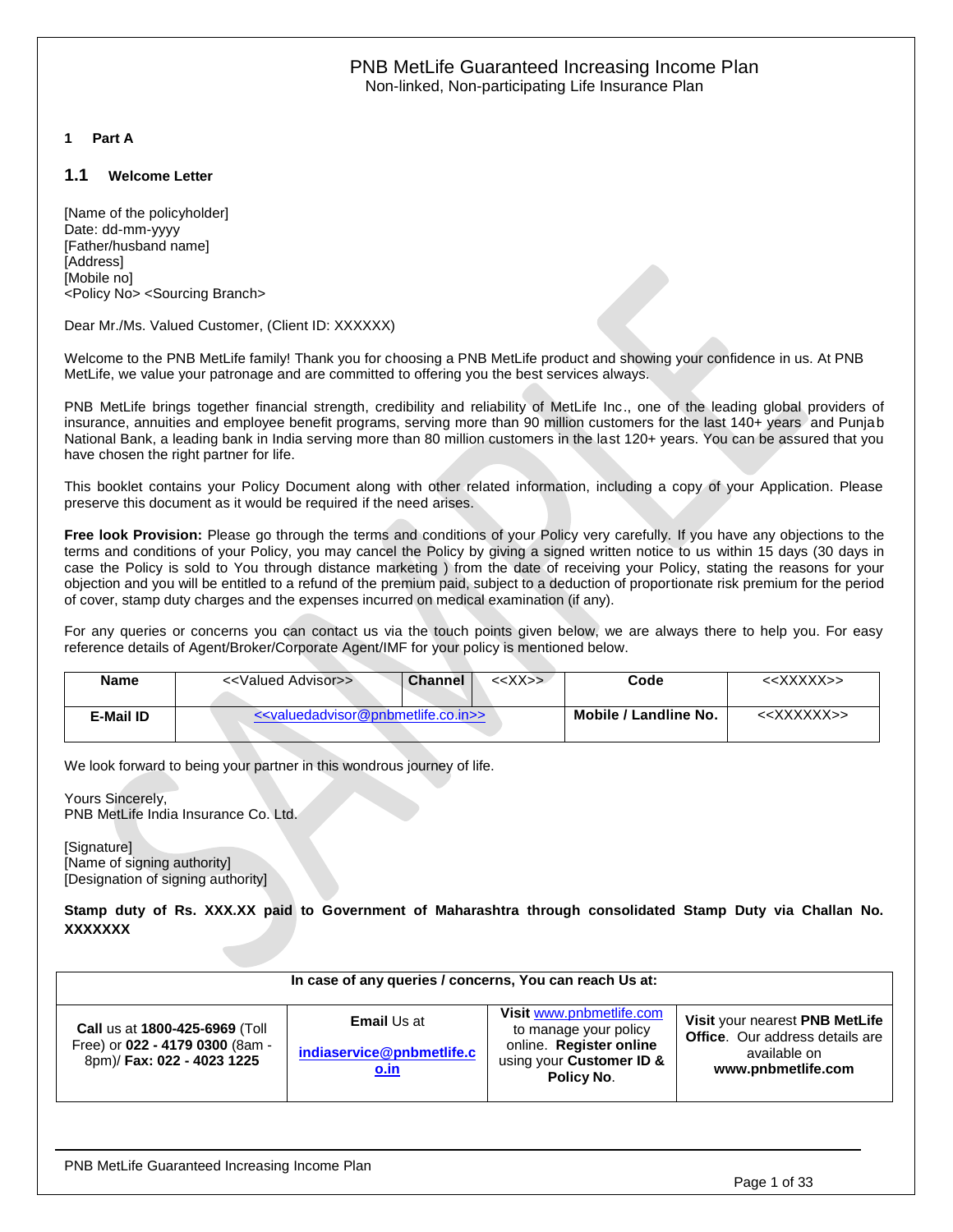#### <span id="page-0-0"></span>**1 Part A**

#### <span id="page-0-1"></span>**1.1 Welcome Letter**

[Name of the policyholder] Date: dd-mm-yyyy [Father/husband name] [Address] [Mobile no] <Policy No> <Sourcing Branch>

Dear Mr./Ms. Valued Customer, (Client ID: XXXXXX)

Welcome to the PNB MetLife family! Thank you for choosing a PNB MetLife product and showing your confidence in us. At PNB MetLife, we value your patronage and are committed to offering you the best services always.

PNB MetLife brings together financial strength, credibility and reliability of MetLife Inc., one of the leading global providers of insurance, annuities and employee benefit programs, serving more than 90 million customers for the last 140+ years and Punjab National Bank, a leading bank in India serving more than 80 million customers in the last 120+ years. You can be assured that you have chosen the right partner for life.

This booklet contains your Policy Document along with other related information, including a copy of your Application. Please preserve this document as it would be required if the need arises.

**Free look Provision:** Please go through the terms and conditions of your Policy very carefully. If you have any objections to the terms and conditions of your Policy, you may cancel the Policy by giving a signed written notice to us within 15 days (30 days in case the Policy is sold to You through distance marketing ) from the date of receiving your Policy, stating the reasons for your objection and you will be entitled to a refund of the premium paid, subject to a deduction of proportionate risk premium for the period of cover, stamp duty charges and the expenses incurred on medical examination (if any).

For any queries or concerns you can contact us via the touch points given below, we are always there to help you. For easy reference details of Agent/Broker/Corporate Agent/IMF for your policy is mentioned below.

| <b>Name</b> | < <valued advisor="">&gt;</valued>                                      | $<<$ $X$ $>$ $>$<br><b>Channel</b> | Code                  | < <xxxxx>&gt;</xxxxx>   |
|-------------|-------------------------------------------------------------------------|------------------------------------|-----------------------|-------------------------|
| E-Mail ID   | < <valuedadvisor@pnbmetlife.co.in>&gt;</valuedadvisor@pnbmetlife.co.in> |                                    | Mobile / Landline No. | < <xxxxxx>&gt;</xxxxxx> |

We look forward to being your partner in this wondrous journey of life.

Yours Sincerely, PNB MetLife India Insurance Co. Ltd.

[Signature] [Name of signing authority] [Designation of signing authority]

**Stamp duty of Rs. XXX.XX paid to Government of Maharashtra through consolidated Stamp Duty via Challan No. XXXXXXX**

| In case of any queries / concerns, You can reach Us at:                                         |                                                                |                                                                                                                        |                                                                                                                |  |  |  |  |
|-------------------------------------------------------------------------------------------------|----------------------------------------------------------------|------------------------------------------------------------------------------------------------------------------------|----------------------------------------------------------------------------------------------------------------|--|--|--|--|
| Call us at 1800-425-6969 (Toll<br>Free) or 022 - 4179 0300 (8am -<br>8pm)/ Fax: 022 - 4023 1225 | <b>Email Us at</b><br>indiaservice@pnbmetlife.c<br><u>o.in</u> | Visit www.pnbmetlife.com<br>to manage your policy<br>online. Register online<br>using your Customer ID &<br>Policy No. | Visit your nearest PNB MetLife<br><b>Office.</b> Our address details are<br>available on<br>www.pnbmetlife.com |  |  |  |  |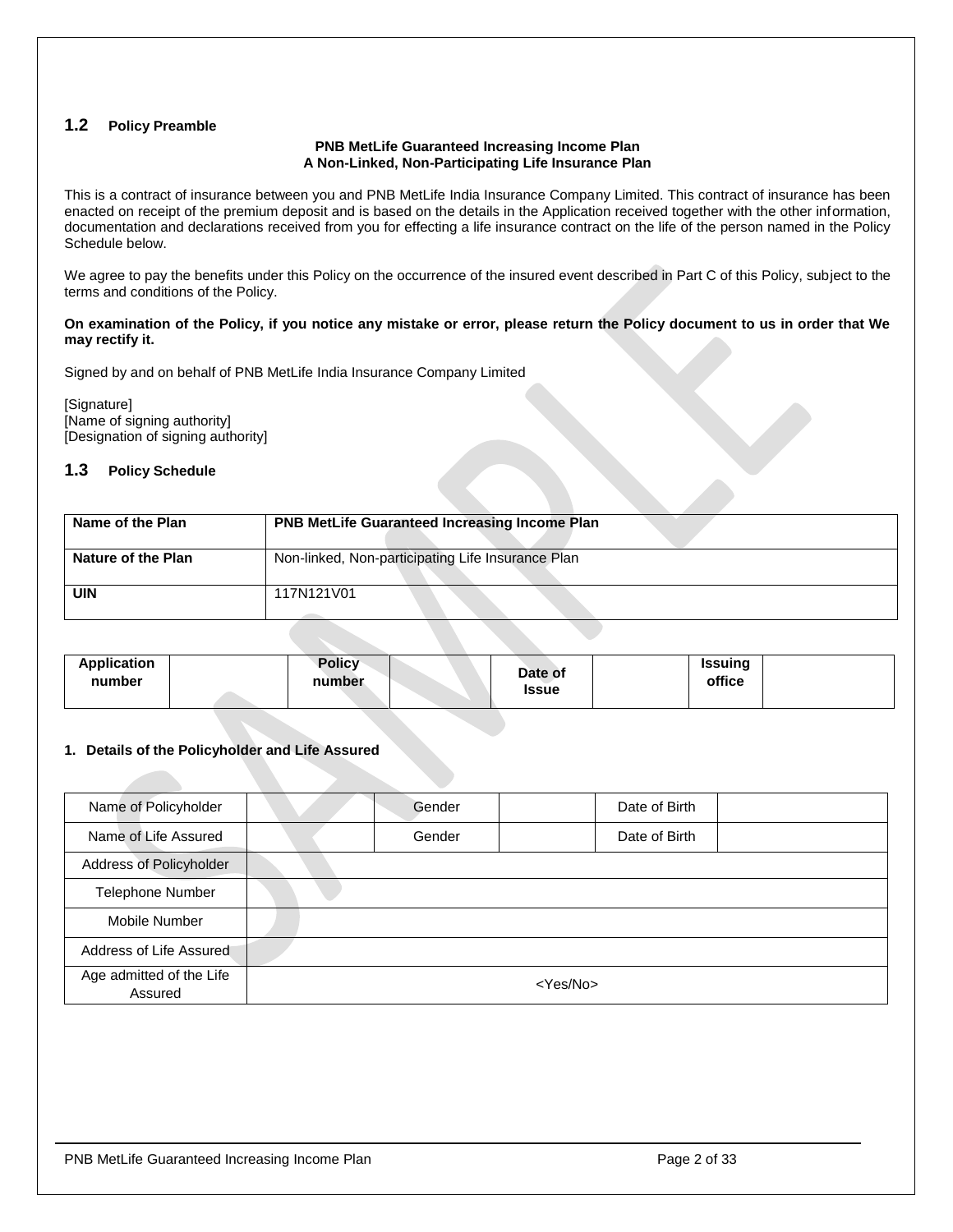# <span id="page-1-0"></span>**1.2 Policy Preamble**

#### **PNB MetLife Guaranteed Increasing Income Plan A Non-Linked, Non-Participating Life Insurance Plan**

This is a contract of insurance between you and PNB MetLife India Insurance Company Limited. This contract of insurance has been enacted on receipt of the premium deposit and is based on the details in the Application received together with the other information, documentation and declarations received from you for effecting a life insurance contract on the life of the person named in the Policy Schedule below.

We agree to pay the benefits under this Policy on the occurrence of the insured event described in Part C of this Policy, subject to the terms and conditions of the Policy.

#### **On examination of the Policy, if you notice any mistake or error, please return the Policy document to us in order that We may rectify it.**

Signed by and on behalf of PNB MetLife India Insurance Company Limited

[Signature] [Name of signing authority] [Designation of signing authority]

# <span id="page-1-1"></span>**1.3 Policy Schedule**

| Name of the Plan   | <b>PNB MetLife Guaranteed Increasing Income Plan</b> |
|--------------------|------------------------------------------------------|
| Nature of the Plan | Non-linked, Non-participating Life Insurance Plan    |
| <b>UIN</b>         | 117N121V01                                           |

| <b>Issue</b> |
|--------------|
|--------------|

#### **1. Details of the Policyholder and Life Assured**

| Name of Policyholder                |                   | Gender |  | Date of Birth |  |  |
|-------------------------------------|-------------------|--------|--|---------------|--|--|
| Name of Life Assured                |                   | Gender |  | Date of Birth |  |  |
| Address of Policyholder             |                   |        |  |               |  |  |
| <b>Telephone Number</b>             |                   |        |  |               |  |  |
| Mobile Number                       |                   |        |  |               |  |  |
| Address of Life Assured             |                   |        |  |               |  |  |
| Age admitted of the Life<br>Assured | <yes no=""></yes> |        |  |               |  |  |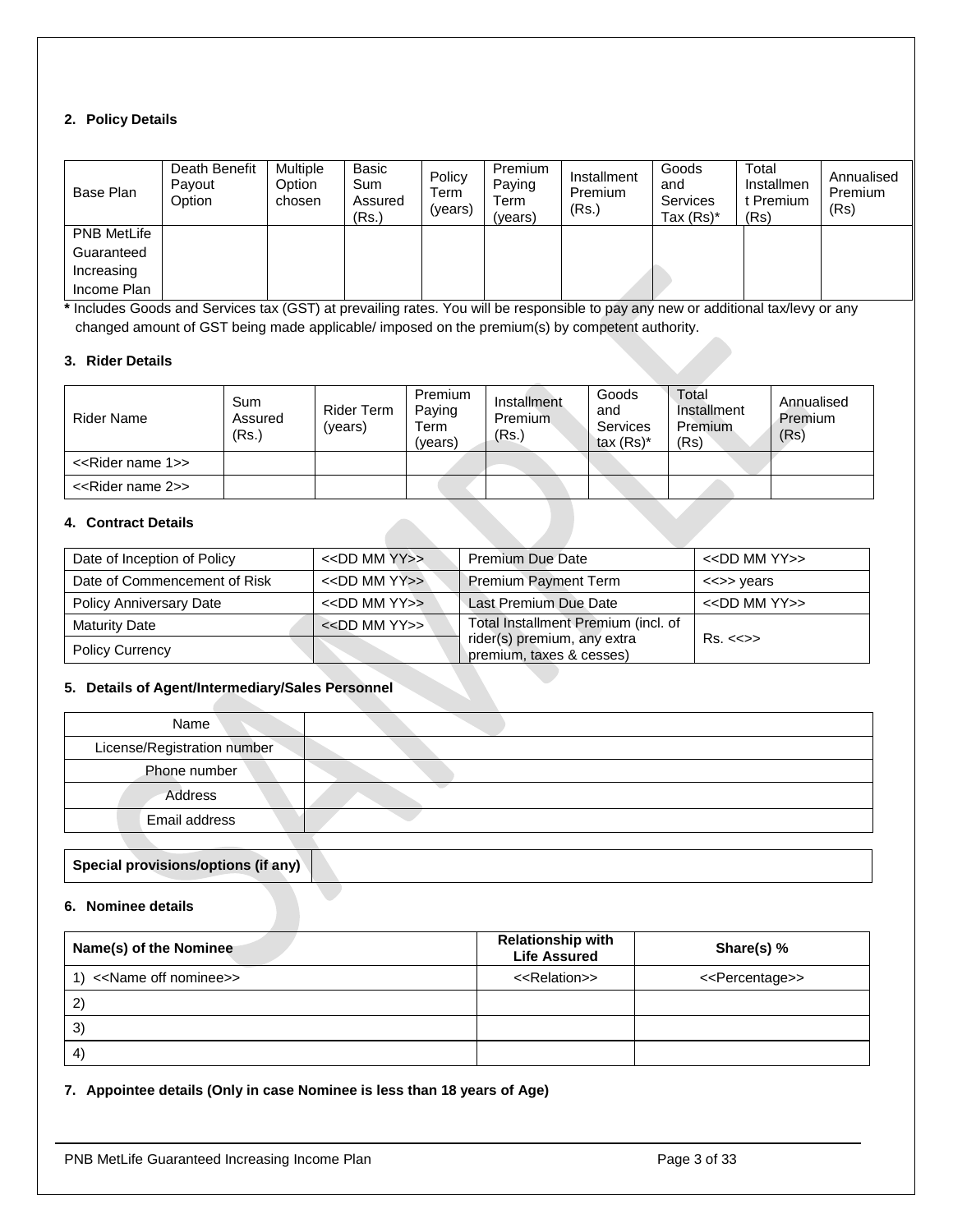# **2. Policy Details**

| Base Plan          | Death Benefit<br>Payout<br>Option | Multiple<br>Option<br>chosen | Basic<br>Sum<br>Assured<br>(Rs.) | Policy<br>Term<br>(vears) | Premium<br>Paying<br>Term<br>(vears) | Installment<br>Premium<br>(Rs.) | Goods<br>and<br>Services<br>Tax $(Rs)^*$ | Total<br>Installmen<br>t Premium<br>(Rs) | Annualised<br>Premium<br>(Rs) |
|--------------------|-----------------------------------|------------------------------|----------------------------------|---------------------------|--------------------------------------|---------------------------------|------------------------------------------|------------------------------------------|-------------------------------|
| <b>PNB MetLife</b> |                                   |                              |                                  |                           |                                      |                                 |                                          |                                          |                               |
| Guaranteed         |                                   |                              |                                  |                           |                                      |                                 |                                          |                                          |                               |
| Increasing         |                                   |                              |                                  |                           |                                      |                                 |                                          |                                          |                               |
| Income Plan        |                                   |                              |                                  |                           |                                      |                                 |                                          |                                          |                               |

**\*** Includes Goods and Services tax (GST) at prevailing rates. You will be responsible to pay any new or additional tax/levy or any changed amount of GST being made applicable/ imposed on the premium(s) by competent authority.

#### **3. Rider Details**

| Rider Name                         | Sum<br>Assured<br>(Rs.) | <b>Rider Term</b><br>(vears) | Premium<br>Paying<br>$\tau_{\rm{erm}}$<br>(vears) | Installment<br><b>Premium</b><br>(Rs.) | Goods<br>and<br>Services<br>tax $(Rs)^*$ | Total<br>Installment<br>Premium<br>(Rs) | Annualised<br>Premium<br>(Rs) |
|------------------------------------|-------------------------|------------------------------|---------------------------------------------------|----------------------------------------|------------------------------------------|-----------------------------------------|-------------------------------|
| < <rider 1="" name="">&gt;</rider> |                         |                              |                                                   |                                        |                                          |                                         |                               |
| < <rider 2="" name="">&gt;</rider> |                         |                              |                                                   |                                        |                                          |                                         |                               |

# **4. Contract Details**

| Date of Inception of Policy    | $<<$ DD MM YY $>>$ | <b>Premium Due Date</b>                                 | $<<$ DD MM YY $>>$      |
|--------------------------------|--------------------|---------------------------------------------------------|-------------------------|
| Date of Commencement of Risk   | $<<$ DD MM YY>>    | <b>Premium Payment Term</b>                             | <<>> years              |
| <b>Policy Anniversary Date</b> | $<<$ DD MM YY $>>$ | Last Premium Due Date                                   | $<<$ DD MM YY $>>$      |
| <b>Maturity Date</b>           | $<<$ DD MM YY>>    | Total Installment Premium (incl. of                     |                         |
| <b>Policy Currency</b>         |                    | rider(s) premium, any extra<br>premium, taxes & cesses) | $Rs. < \Leftrightarrow$ |

#### **5. Details of Agent/Intermediary/Sales Personnel**

| Name                        |  |
|-----------------------------|--|
| License/Registration number |  |
| Phone number                |  |
| Address                     |  |
| Email address               |  |
|                             |  |

# **Special provisions/options (if any)**

# **6. Nominee details**

| Name(s) of the Nominee   | <b>Relationship with</b><br><b>Life Assured</b> | Share(s) $%$                    |
|--------------------------|-------------------------------------------------|---------------------------------|
| 1) << Name off nominee>> | < <relation>&gt;</relation>                     | < <percentage>&gt;</percentage> |
| $\mathbf{2}$             |                                                 |                                 |
| 3)                       |                                                 |                                 |
| $\vert$                  |                                                 |                                 |

#### **7. Appointee details (Only in case Nominee is less than 18 years of Age)**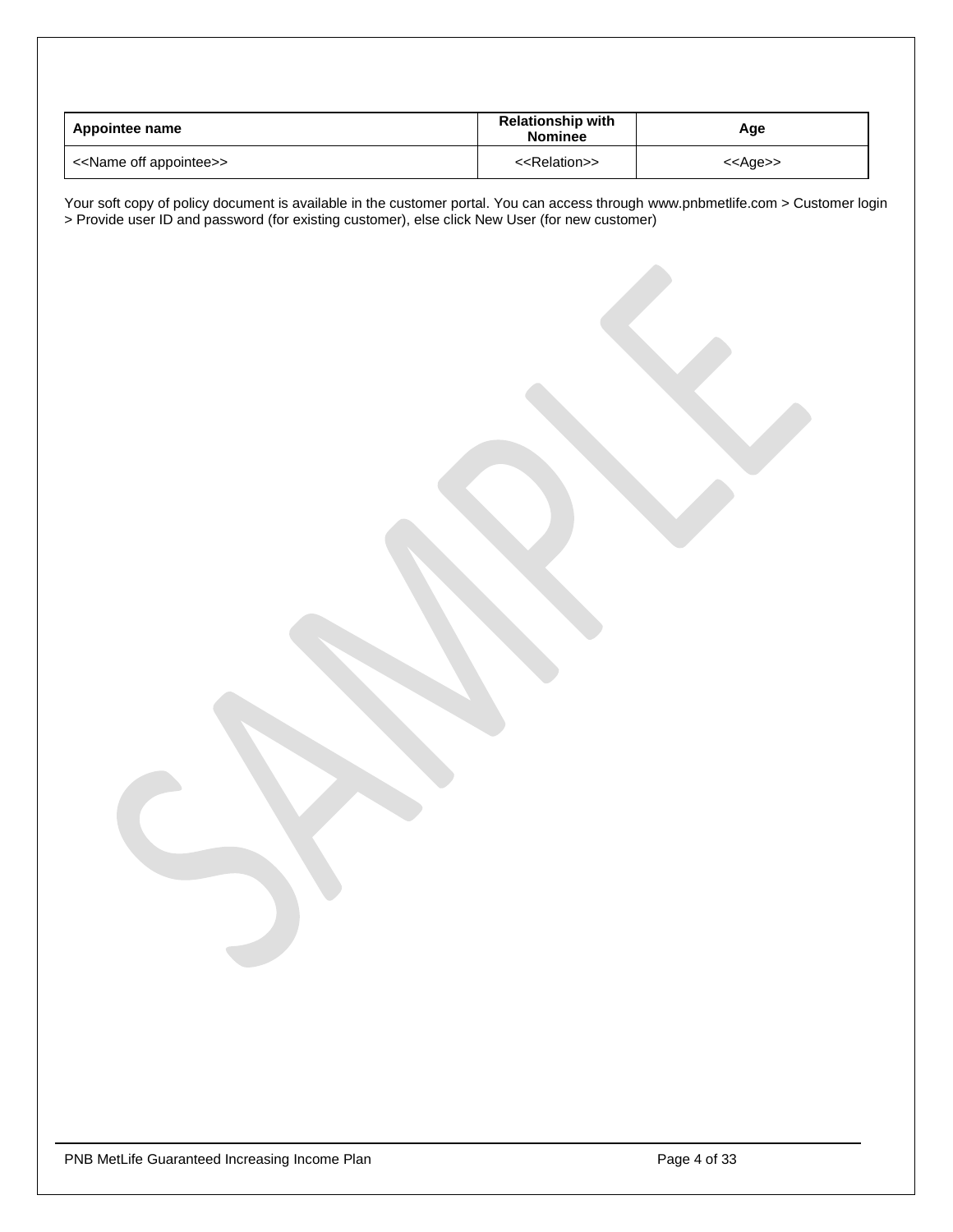| Appointee name                          | <b>Relationship with</b><br><b>Nominee</b> | Age               |
|-----------------------------------------|--------------------------------------------|-------------------|
| < <name appointee="" off="">&gt;</name> | < <relation>&gt;</relation>                | < <age>&gt;</age> |

Your soft copy of policy document is available in the customer portal. You can access through www.pnbmetlife.com > Customer login > Provide user ID and password (for existing customer), else click New User (for new customer)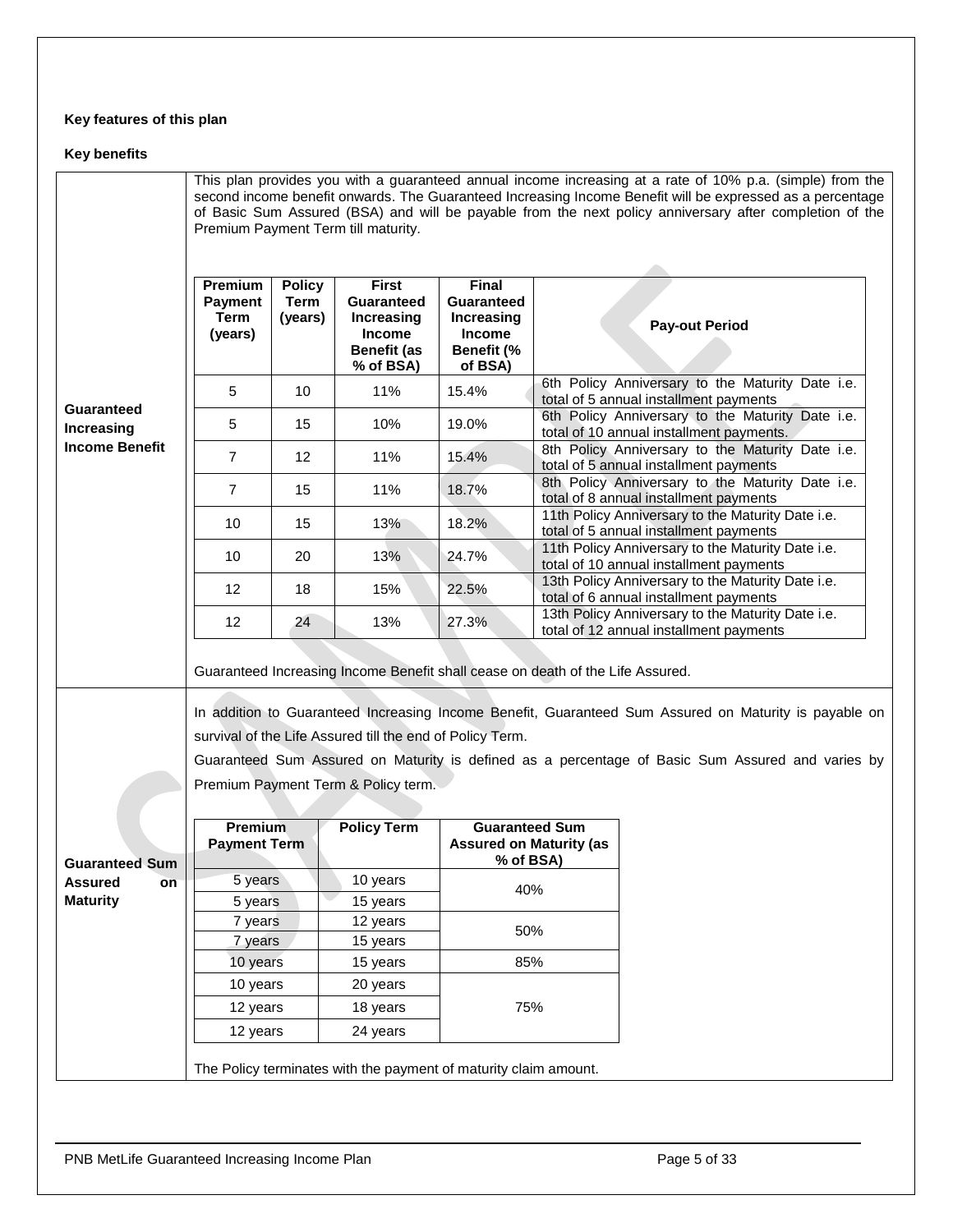# **Key features of this plan**

# **Key benefits**

|                                        |                                                                                                                                                                                         |                                         | Premium Payment Term till maturity.                                                                 |                                                                             | This plan provides you with a guaranteed annual income increasing at a rate of 10% p.a. (simple) from the<br>second income benefit onwards. The Guaranteed Increasing Income Benefit will be expressed as a percentage<br>of Basic Sum Assured (BSA) and will be payable from the next policy anniversary after completion of the |  |  |
|----------------------------------------|-----------------------------------------------------------------------------------------------------------------------------------------------------------------------------------------|-----------------------------------------|-----------------------------------------------------------------------------------------------------|-----------------------------------------------------------------------------|-----------------------------------------------------------------------------------------------------------------------------------------------------------------------------------------------------------------------------------------------------------------------------------------------------------------------------------|--|--|
|                                        | Premium<br>Payment<br><b>Term</b><br>(years)                                                                                                                                            | <b>Policy</b><br><b>Term</b><br>(years) | <b>First</b><br><b>Guaranteed</b><br>Increasing<br><b>Income</b><br><b>Benefit (as</b><br>% of BSA) | Final<br><b>Guaranteed</b><br>Increasing<br>Income<br>Benefit (%<br>of BSA) | <b>Pay-out Period</b>                                                                                                                                                                                                                                                                                                             |  |  |
|                                        | 5                                                                                                                                                                                       | 10                                      | 11%                                                                                                 | 15.4%                                                                       | 6th Policy Anniversary to the Maturity Date i.e.<br>total of 5 annual installment payments                                                                                                                                                                                                                                        |  |  |
| <b>Guaranteed</b><br><b>Increasing</b> | 5                                                                                                                                                                                       | 15                                      | 10%                                                                                                 | 19.0%                                                                       | 6th Policy Anniversary to the Maturity Date i.e.<br>total of 10 annual installment payments.                                                                                                                                                                                                                                      |  |  |
| <b>Income Benefit</b>                  | $\overline{7}$                                                                                                                                                                          | 12                                      | 11%                                                                                                 | 15.4%                                                                       | 8th Policy Anniversary to the Maturity Date i.e.<br>total of 5 annual installment payments                                                                                                                                                                                                                                        |  |  |
|                                        | $\overline{7}$                                                                                                                                                                          | 15                                      | 11%                                                                                                 | 18.7%                                                                       | 8th Policy Anniversary to the Maturity Date i.e.<br>total of 8 annual installment payments                                                                                                                                                                                                                                        |  |  |
|                                        | 10                                                                                                                                                                                      | 15                                      | 13%                                                                                                 | 18.2%                                                                       | 11th Policy Anniversary to the Maturity Date i.e.<br>total of 5 annual installment payments                                                                                                                                                                                                                                       |  |  |
|                                        | 10                                                                                                                                                                                      | 20                                      | 13%                                                                                                 | 24.7%                                                                       | 11th Policy Anniversary to the Maturity Date i.e.<br>total of 10 annual installment payments                                                                                                                                                                                                                                      |  |  |
|                                        | 12                                                                                                                                                                                      | 18                                      | 15%                                                                                                 | 22.5%                                                                       | 13th Policy Anniversary to the Maturity Date i.e.<br>total of 6 annual installment payments                                                                                                                                                                                                                                       |  |  |
|                                        | 12<br>24                                                                                                                                                                                |                                         | 13%                                                                                                 | 27.3%                                                                       | 13th Policy Anniversary to the Maturity Date i.e.<br>total of 12 annual installment payments                                                                                                                                                                                                                                      |  |  |
|                                        | Guaranteed Increasing Income Benefit shall cease on death of the Life Assured.<br>In addition to Guaranteed Increasing Income Benefit, Guaranteed Sum Assured on Maturity is payable on |                                         |                                                                                                     |                                                                             |                                                                                                                                                                                                                                                                                                                                   |  |  |
|                                        |                                                                                                                                                                                         |                                         | survival of the Life Assured till the end of Policy Term.                                           |                                                                             |                                                                                                                                                                                                                                                                                                                                   |  |  |
|                                        |                                                                                                                                                                                         |                                         |                                                                                                     |                                                                             | Guaranteed Sum Assured on Maturity is defined as a percentage of Basic Sum Assured and varies by                                                                                                                                                                                                                                  |  |  |
|                                        |                                                                                                                                                                                         |                                         | Premium Payment Term & Policy term.                                                                 |                                                                             |                                                                                                                                                                                                                                                                                                                                   |  |  |
| Guaranteed Sum                         | <b>Premium</b><br><b>Payment Term</b>                                                                                                                                                   |                                         | <b>Policy Term</b>                                                                                  | <b>Guaranteed Sum</b><br><b>Assured on Maturity (as</b><br>% of BSA)        |                                                                                                                                                                                                                                                                                                                                   |  |  |
| <b>Assured</b><br>on                   | 5 years                                                                                                                                                                                 |                                         | 10 years                                                                                            | 40%                                                                         |                                                                                                                                                                                                                                                                                                                                   |  |  |
| <b>Maturity</b>                        | 5 years                                                                                                                                                                                 |                                         | 15 years                                                                                            |                                                                             |                                                                                                                                                                                                                                                                                                                                   |  |  |
|                                        | 7 years                                                                                                                                                                                 |                                         | 12 years                                                                                            | 50%                                                                         |                                                                                                                                                                                                                                                                                                                                   |  |  |
|                                        | 7 years                                                                                                                                                                                 |                                         | 15 years                                                                                            | 85%                                                                         |                                                                                                                                                                                                                                                                                                                                   |  |  |
|                                        | 10 years                                                                                                                                                                                |                                         | 15 years                                                                                            |                                                                             |                                                                                                                                                                                                                                                                                                                                   |  |  |
|                                        | 10 years                                                                                                                                                                                |                                         | 20 years                                                                                            |                                                                             |                                                                                                                                                                                                                                                                                                                                   |  |  |
|                                        | 12 years<br>12 years                                                                                                                                                                    |                                         | 18 years<br>24 years                                                                                | 75%                                                                         |                                                                                                                                                                                                                                                                                                                                   |  |  |
|                                        |                                                                                                                                                                                         |                                         |                                                                                                     |                                                                             |                                                                                                                                                                                                                                                                                                                                   |  |  |
|                                        |                                                                                                                                                                                         |                                         | The Policy terminates with the payment of maturity claim amount.                                    |                                                                             |                                                                                                                                                                                                                                                                                                                                   |  |  |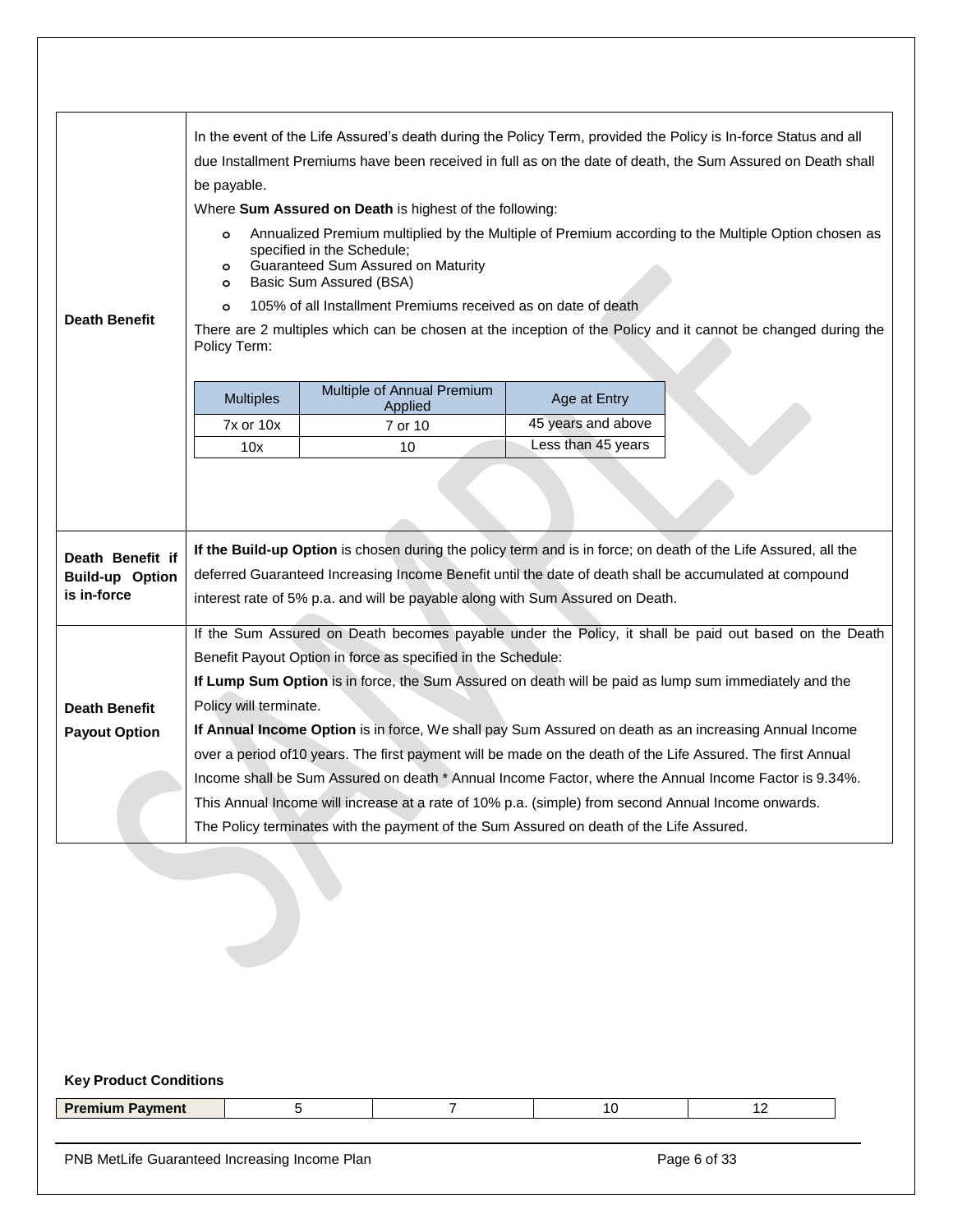|                                       | In the event of the Life Assured's death during the Policy Term, provided the Policy is In-force Status and all<br>due Installment Premiums have been received in full as on the date of death, the Sum Assured on Death shall |                                                                                                                                                                                               |                    |                                                                                                              |  |
|---------------------------------------|--------------------------------------------------------------------------------------------------------------------------------------------------------------------------------------------------------------------------------|-----------------------------------------------------------------------------------------------------------------------------------------------------------------------------------------------|--------------------|--------------------------------------------------------------------------------------------------------------|--|
|                                       |                                                                                                                                                                                                                                |                                                                                                                                                                                               |                    |                                                                                                              |  |
|                                       | be payable.                                                                                                                                                                                                                    |                                                                                                                                                                                               |                    |                                                                                                              |  |
|                                       |                                                                                                                                                                                                                                | Where Sum Assured on Death is highest of the following:                                                                                                                                       |                    | Annualized Premium multiplied by the Multiple of Premium according to the Multiple Option chosen as          |  |
|                                       | $\circ$<br>$\circ$<br>$\circ$                                                                                                                                                                                                  | specified in the Schedule;<br>Guaranteed Sum Assured on Maturity<br>Basic Sum Assured (BSA)                                                                                                   |                    |                                                                                                              |  |
|                                       | $\circ$                                                                                                                                                                                                                        | 105% of all Installment Premiums received as on date of death                                                                                                                                 |                    |                                                                                                              |  |
| <b>Death Benefit</b>                  | Policy Term:                                                                                                                                                                                                                   |                                                                                                                                                                                               |                    | There are 2 multiples which can be chosen at the inception of the Policy and it cannot be changed during the |  |
|                                       | <b>Multiples</b>                                                                                                                                                                                                               | Multiple of Annual Premium<br>Applied                                                                                                                                                         | Age at Entry       |                                                                                                              |  |
|                                       | <b>7x or 10x</b>                                                                                                                                                                                                               | 7 or 10                                                                                                                                                                                       | 45 years and above |                                                                                                              |  |
|                                       | 10x                                                                                                                                                                                                                            | 10                                                                                                                                                                                            | Less than 45 years |                                                                                                              |  |
| Death Benefit if                      |                                                                                                                                                                                                                                | If the Build-up Option is chosen during the policy term and is in force; on death of the Life Assured, all the                                                                                |                    |                                                                                                              |  |
| <b>Build-up Option</b><br>is in-force |                                                                                                                                                                                                                                | deferred Guaranteed Increasing Income Benefit until the date of death shall be accumulated at compound<br>interest rate of 5% p.a. and will be payable along with Sum Assured on Death.       |                    |                                                                                                              |  |
|                                       |                                                                                                                                                                                                                                |                                                                                                                                                                                               |                    | If the Sum Assured on Death becomes payable under the Policy, it shall be paid out based on the Death        |  |
|                                       |                                                                                                                                                                                                                                | Benefit Payout Option in force as specified in the Schedule:                                                                                                                                  |                    |                                                                                                              |  |
|                                       |                                                                                                                                                                                                                                | If Lump Sum Option is in force, the Sum Assured on death will be paid as lump sum immediately and the                                                                                         |                    |                                                                                                              |  |
|                                       | Policy will terminate.                                                                                                                                                                                                         |                                                                                                                                                                                               |                    |                                                                                                              |  |
| <b>Death Benefit</b>                  |                                                                                                                                                                                                                                | If Annual Income Option is in force, We shall pay Sum Assured on death as an increasing Annual Income                                                                                         |                    |                                                                                                              |  |
|                                       |                                                                                                                                                                                                                                | over a period of 10 years. The first payment will be made on the death of the Life Assured. The first Annual                                                                                  |                    |                                                                                                              |  |
| <b>Payout Option</b>                  |                                                                                                                                                                                                                                |                                                                                                                                                                                               |                    | Income shall be Sum Assured on death * Annual Income Factor, where the Annual Income Factor is 9.34%.        |  |
|                                       |                                                                                                                                                                                                                                | This Annual Income will increase at a rate of 10% p.a. (simple) from second Annual Income onwards.<br>The Policy terminates with the payment of the Sum Assured on death of the Life Assured. |                    |                                                                                                              |  |

# **Key Product Conditions**

| <b>Premium</b><br>Downoot<br>. . |
|----------------------------------|
|----------------------------------|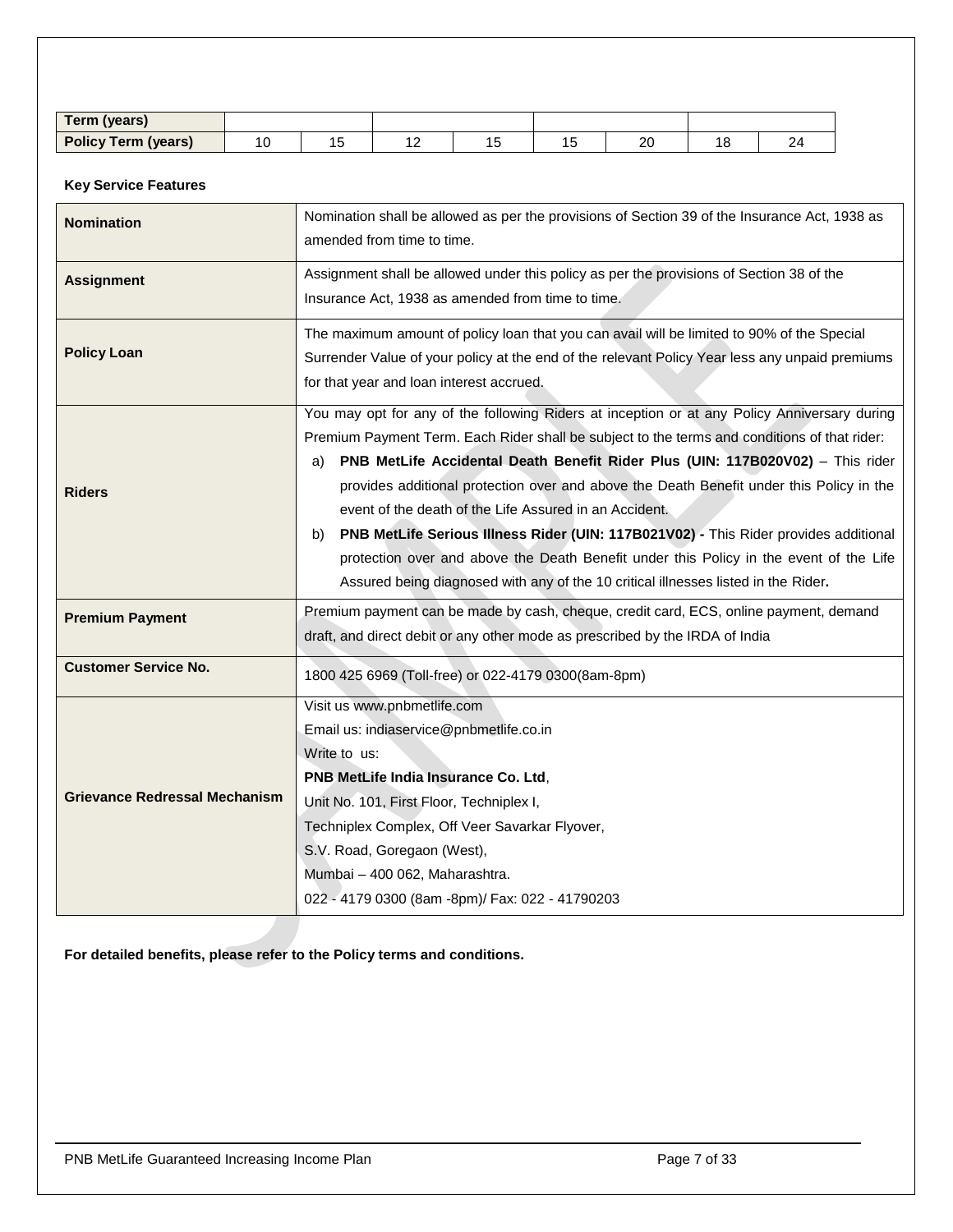| <b>Term (years)</b>        |    |        |  |                  |                      |  |
|----------------------------|----|--------|--|------------------|----------------------|--|
| <b>Policy Term (years)</b> | ັບ | $\sim$ |  | $\sim$<br>$\sim$ | $\overline{A}$<br>۱O |  |

# **Key Service Features**

| <b>Nomination</b>                    | Nomination shall be allowed as per the provisions of Section 39 of the Insurance Act, 1938 as<br>amended from time to time.                                                                                                                                                                                                                                                                                                                                                                                                                                                                                                                                                                                              |  |  |
|--------------------------------------|--------------------------------------------------------------------------------------------------------------------------------------------------------------------------------------------------------------------------------------------------------------------------------------------------------------------------------------------------------------------------------------------------------------------------------------------------------------------------------------------------------------------------------------------------------------------------------------------------------------------------------------------------------------------------------------------------------------------------|--|--|
| <b>Assignment</b>                    | Assignment shall be allowed under this policy as per the provisions of Section 38 of the<br>Insurance Act, 1938 as amended from time to time.                                                                                                                                                                                                                                                                                                                                                                                                                                                                                                                                                                            |  |  |
| <b>Policy Loan</b>                   | The maximum amount of policy loan that you can avail will be limited to 90% of the Special<br>Surrender Value of your policy at the end of the relevant Policy Year less any unpaid premiums<br>for that year and loan interest accrued.                                                                                                                                                                                                                                                                                                                                                                                                                                                                                 |  |  |
| <b>Riders</b>                        | You may opt for any of the following Riders at inception or at any Policy Anniversary during<br>Premium Payment Term. Each Rider shall be subject to the terms and conditions of that rider:<br>PNB MetLife Accidental Death Benefit Rider Plus (UIN: 117B020V02) - This rider<br>a)<br>provides additional protection over and above the Death Benefit under this Policy in the<br>event of the death of the Life Assured in an Accident.<br>PNB MetLife Serious Illness Rider (UIN: 117B021V02) - This Rider provides additional<br>b)<br>protection over and above the Death Benefit under this Policy in the event of the Life<br>Assured being diagnosed with any of the 10 critical illnesses listed in the Rider. |  |  |
| <b>Premium Payment</b>               | Premium payment can be made by cash, cheque, credit card, ECS, online payment, demand<br>draft, and direct debit or any other mode as prescribed by the IRDA of India                                                                                                                                                                                                                                                                                                                                                                                                                                                                                                                                                    |  |  |
| <b>Customer Service No.</b>          | 1800 425 6969 (Toll-free) or 022-4179 0300(8am-8pm)                                                                                                                                                                                                                                                                                                                                                                                                                                                                                                                                                                                                                                                                      |  |  |
| <b>Grievance Redressal Mechanism</b> | Visit us www.pnbmetlife.com<br>Email us: indiaservice@pnbmetlife.co.in<br>Write to us:<br>PNB MetLife India Insurance Co. Ltd,<br>Unit No. 101, First Floor, Techniplex I,<br>Techniplex Complex, Off Veer Savarkar Flyover,<br>S.V. Road, Goregaon (West),<br>Mumbai - 400 062, Maharashtra.<br>022 - 4179 0300 (8am -8pm)/ Fax: 022 - 41790203                                                                                                                                                                                                                                                                                                                                                                         |  |  |

**For detailed benefits, please refer to the Policy terms and conditions.**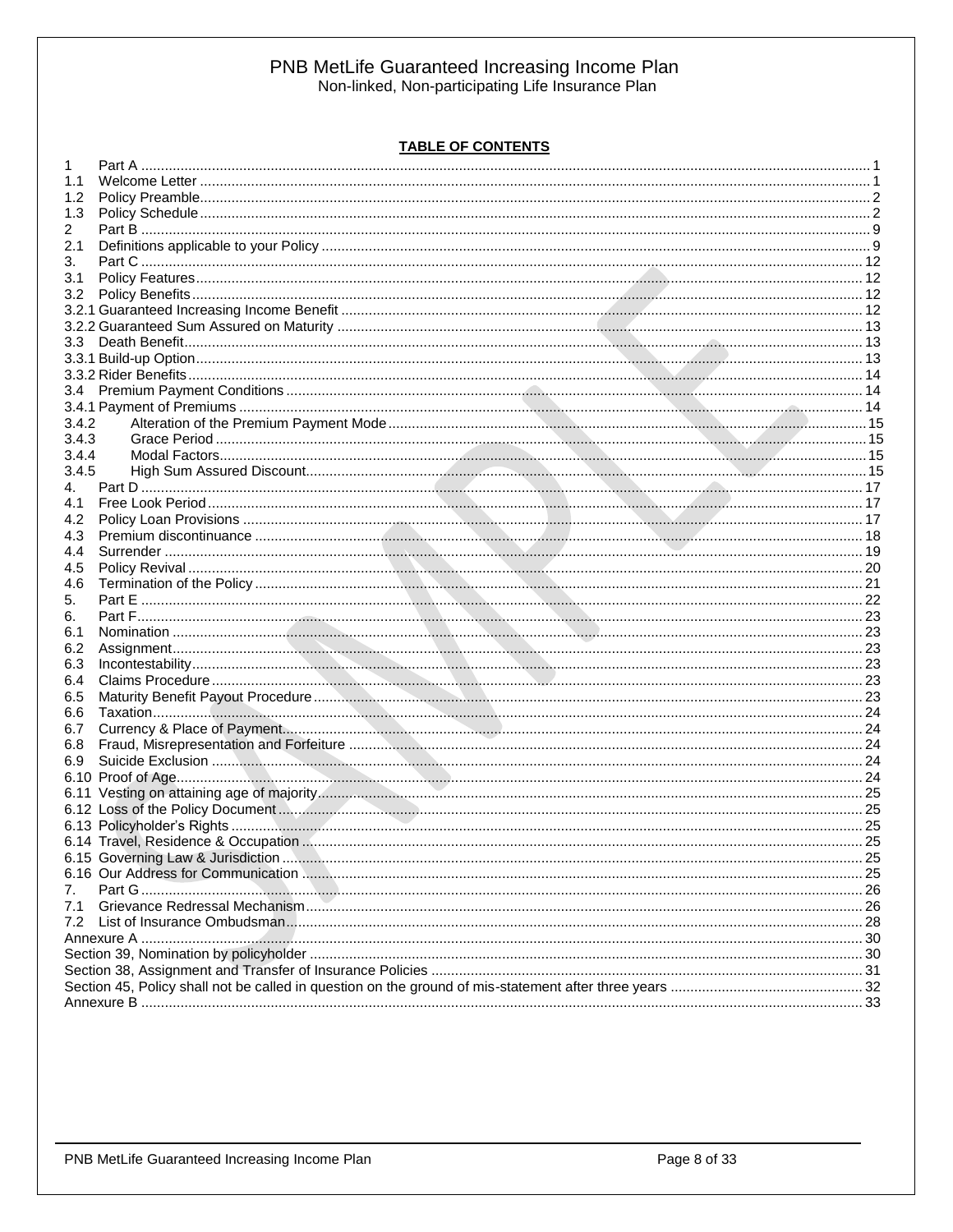# **TABLE OF CONTENTS**

| 1     |  |
|-------|--|
| 1.1   |  |
| 1.2   |  |
| 1.3   |  |
| 2     |  |
| 2.1   |  |
| 3.    |  |
| 3.1   |  |
| 3.2   |  |
|       |  |
|       |  |
|       |  |
|       |  |
|       |  |
|       |  |
| 3.4   |  |
|       |  |
| 3.4.2 |  |
| 3.4.3 |  |
| 3.4.4 |  |
| 3.4.5 |  |
| 4.    |  |
| 4.1   |  |
| 4.2   |  |
| 4.3   |  |
| 4.4   |  |
| 4.5   |  |
| 4.6   |  |
| 5.    |  |
| 6.    |  |
| 6.1   |  |
| 6.2   |  |
| 6.3   |  |
| 6.4   |  |
| 6.5   |  |
| 6.6   |  |
| 6.7   |  |
| 6.8   |  |
| 6.9   |  |
|       |  |
|       |  |
|       |  |
|       |  |
|       |  |
|       |  |
|       |  |
|       |  |
| 7.    |  |
| 7.1   |  |
|       |  |
|       |  |
|       |  |
|       |  |
|       |  |
|       |  |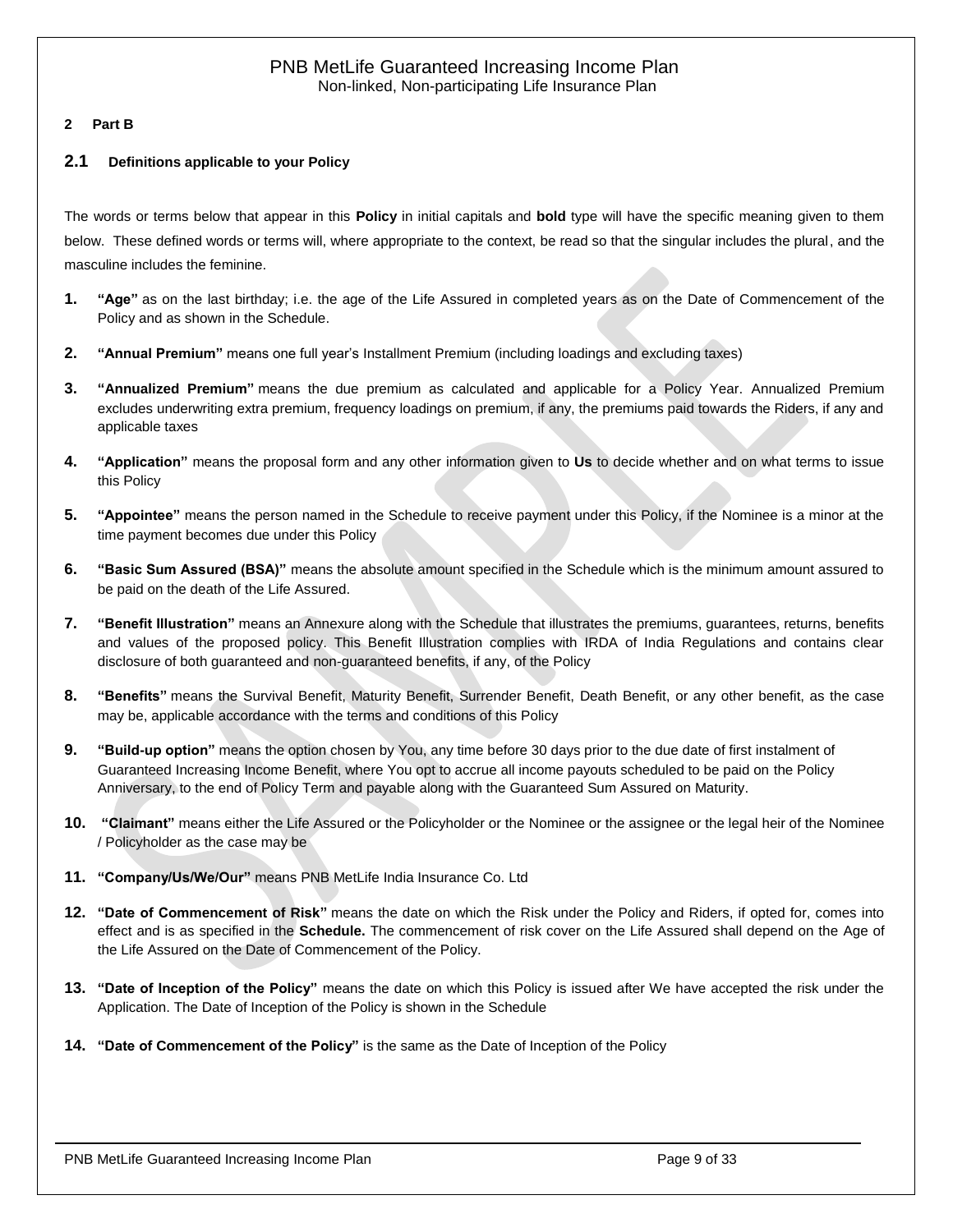#### <span id="page-8-0"></span>**2 Part B**

#### <span id="page-8-1"></span>**2.1 Definitions applicable to your Policy**

The words or terms below that appear in this **Policy** in initial capitals and **bold** type will have the specific meaning given to them below. These defined words or terms will, where appropriate to the context, be read so that the singular includes the plural, and the masculine includes the feminine.

- **1. "Age"** as on the last birthday; i.e. the age of the Life Assured in completed years as on the Date of Commencement of the Policy and as shown in the Schedule.
- **2. "Annual Premium"** means one full year's Installment Premium (including loadings and excluding taxes)
- **3. "Annualized Premium"** means the due premium as calculated and applicable for a Policy Year. Annualized Premium excludes underwriting extra premium, frequency loadings on premium, if any, the premiums paid towards the Riders, if any and applicable taxes
- **4. "Application"** means the proposal form and any other information given to **Us** to decide whether and on what terms to issue this Policy
- **5. "Appointee"** means the person named in the Schedule to receive payment under this Policy, if the Nominee is a minor at the time payment becomes due under this Policy
- **6. "Basic Sum Assured (BSA)"** means the absolute amount specified in the Schedule which is the minimum amount assured to be paid on the death of the Life Assured.
- **7. "Benefit Illustration"** means an Annexure along with the Schedule that illustrates the premiums, guarantees, returns, benefits and values of the proposed policy. This Benefit Illustration complies with IRDA of India Regulations and contains clear disclosure of both guaranteed and non-guaranteed benefits, if any, of the Policy
- **8. "Benefits"** means the Survival Benefit, Maturity Benefit, Surrender Benefit, Death Benefit, or any other benefit, as the case may be, applicable accordance with the terms and conditions of this Policy
- **9. "Build-up option"** means the option chosen by You, any time before 30 days prior to the due date of first instalment of Guaranteed Increasing Income Benefit, where You opt to accrue all income payouts scheduled to be paid on the Policy Anniversary, to the end of Policy Term and payable along with the Guaranteed Sum Assured on Maturity.
- **10. "Claimant"** means either the Life Assured or the Policyholder or the Nominee or the assignee or the legal heir of the Nominee / Policyholder as the case may be
- **11. "Company/Us/We/Our"** means PNB MetLife India Insurance Co. Ltd
- **12. "Date of Commencement of Risk"** means the date on which the Risk under the Policy and Riders, if opted for, comes into effect and is as specified in the **Schedule.** The commencement of risk cover on the Life Assured shall depend on the Age of the Life Assured on the Date of Commencement of the Policy.
- **13. "Date of Inception of the Policy"** means the date on which this Policy is issued after We have accepted the risk under the Application. The Date of Inception of the Policy is shown in the Schedule
- **14. "Date of Commencement of the Policy"** is the same as the Date of Inception of the Policy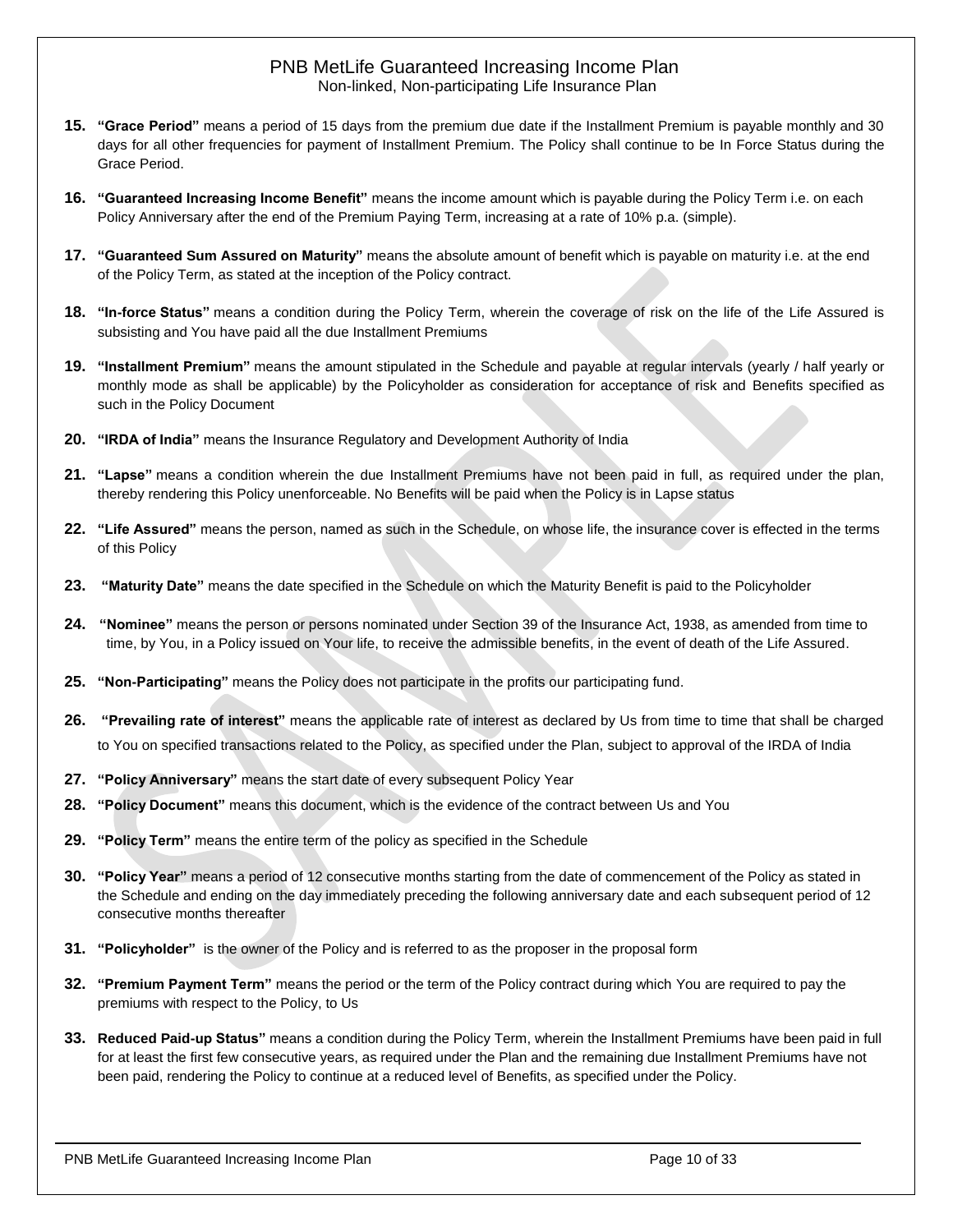- **15. "Grace Period"** means a period of 15 days from the premium due date if the Installment Premium is payable monthly and 30 days for all other frequencies for payment of Installment Premium. The Policy shall continue to be In Force Status during the Grace Period.
- **16. "Guaranteed Increasing Income Benefit"** means the income amount which is payable during the Policy Term i.e. on each Policy Anniversary after the end of the Premium Paying Term, increasing at a rate of 10% p.a. (simple).
- **17. "Guaranteed Sum Assured on Maturity"** means the absolute amount of benefit which is payable on maturity i.e. at the end of the Policy Term, as stated at the inception of the Policy contract.
- **18. "In-force Status"** means a condition during the Policy Term, wherein the coverage of risk on the life of the Life Assured is subsisting and You have paid all the due Installment Premiums
- **19. "Installment Premium"** means the amount stipulated in the Schedule and payable at regular intervals (yearly / half yearly or monthly mode as shall be applicable) by the Policyholder as consideration for acceptance of risk and Benefits specified as such in the Policy Document
- **20. "IRDA of India"** means the Insurance Regulatory and Development Authority of India
- **21. "Lapse"** means a condition wherein the due Installment Premiums have not been paid in full, as required under the plan, thereby rendering this Policy unenforceable. No Benefits will be paid when the Policy is in Lapse status
- **22. "Life Assured"** means the person, named as such in the Schedule, on whose life, the insurance cover is effected in the terms of this Policy
- **23. "Maturity Date"** means the date specified in the Schedule on which the Maturity Benefit is paid to the Policyholder
- **24. "Nominee"** means the person or persons nominated under Section 39 of the Insurance Act, 1938, as amended from time to time, by You, in a Policy issued on Your life, to receive the admissible benefits, in the event of death of the Life Assured.
- **25. "Non-Participating"** means the Policy does not participate in the profits our participating fund.
- **26. "Prevailing rate of interest"** means the applicable rate of interest as declared by Us from time to time that shall be charged to You on specified transactions related to the Policy, as specified under the Plan, subject to approval of the IRDA of India
- **27. "Policy Anniversary"** means the start date of every subsequent Policy Year
- **28. "Policy Document"** means this document, which is the evidence of the contract between Us and You
- **29. "Policy Term"** means the entire term of the policy as specified in the Schedule
- **30. "Policy Year"** means a period of 12 consecutive months starting from the date of commencement of the Policy as stated in the Schedule and ending on the day immediately preceding the following anniversary date and each subsequent period of 12 consecutive months thereafter
- **31. "Policyholder"** is the owner of the Policy and is referred to as the proposer in the proposal form
- **32. "Premium Payment Term"** means the period or the term of the Policy contract during which You are required to pay the premiums with respect to the Policy, to Us
- **33. Reduced Paid-up Status"** means a condition during the Policy Term, wherein the Installment Premiums have been paid in full for at least the first few consecutive years, as required under the Plan and the remaining due Installment Premiums have not been paid, rendering the Policy to continue at a reduced level of Benefits, as specified under the Policy.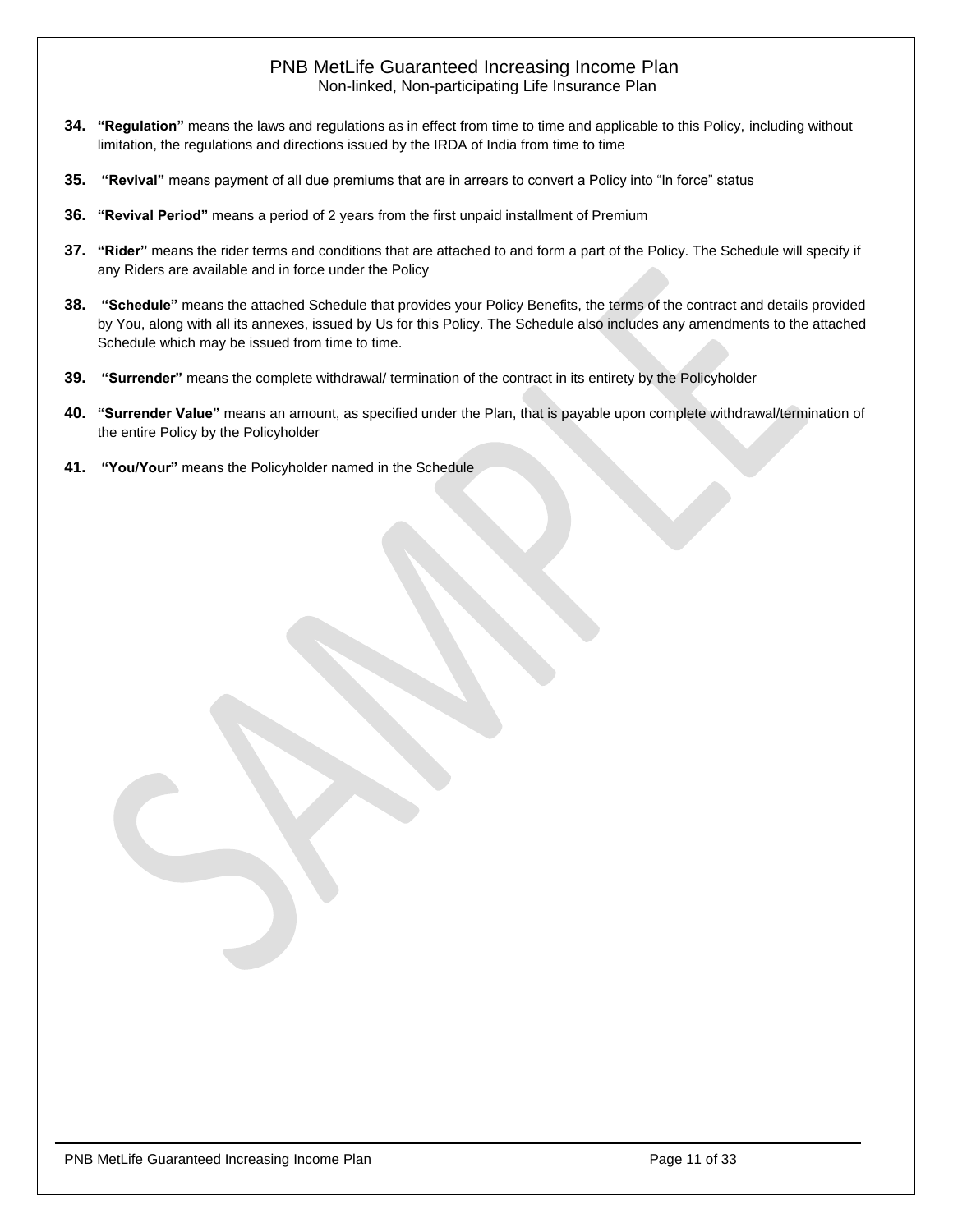- **34. "Regulation"** means the laws and regulations as in effect from time to time and applicable to this Policy, including without limitation, the regulations and directions issued by the IRDA of India from time to time
- **35. "Revival"** means payment of all due premiums that are in arrears to convert a Policy into "In force" status
- **36. "Revival Period"** means a period of 2 years from the first unpaid installment of Premium
- **37. "Rider"** means the rider terms and conditions that are attached to and form a part of the Policy. The Schedule will specify if any Riders are available and in force under the Policy
- **38. "Schedule"** means the attached Schedule that provides your Policy Benefits, the terms of the contract and details provided by You, along with all its annexes, issued by Us for this Policy. The Schedule also includes any amendments to the attached Schedule which may be issued from time to time.
- **39. "Surrender"** means the complete withdrawal/ termination of the contract in its entirety by the Policyholder
- **40. "Surrender Value"** means an amount, as specified under the Plan, that is payable upon complete withdrawal/termination of the entire Policy by the Policyholder
- **41. "You/Your"** means the Policyholder named in the Schedule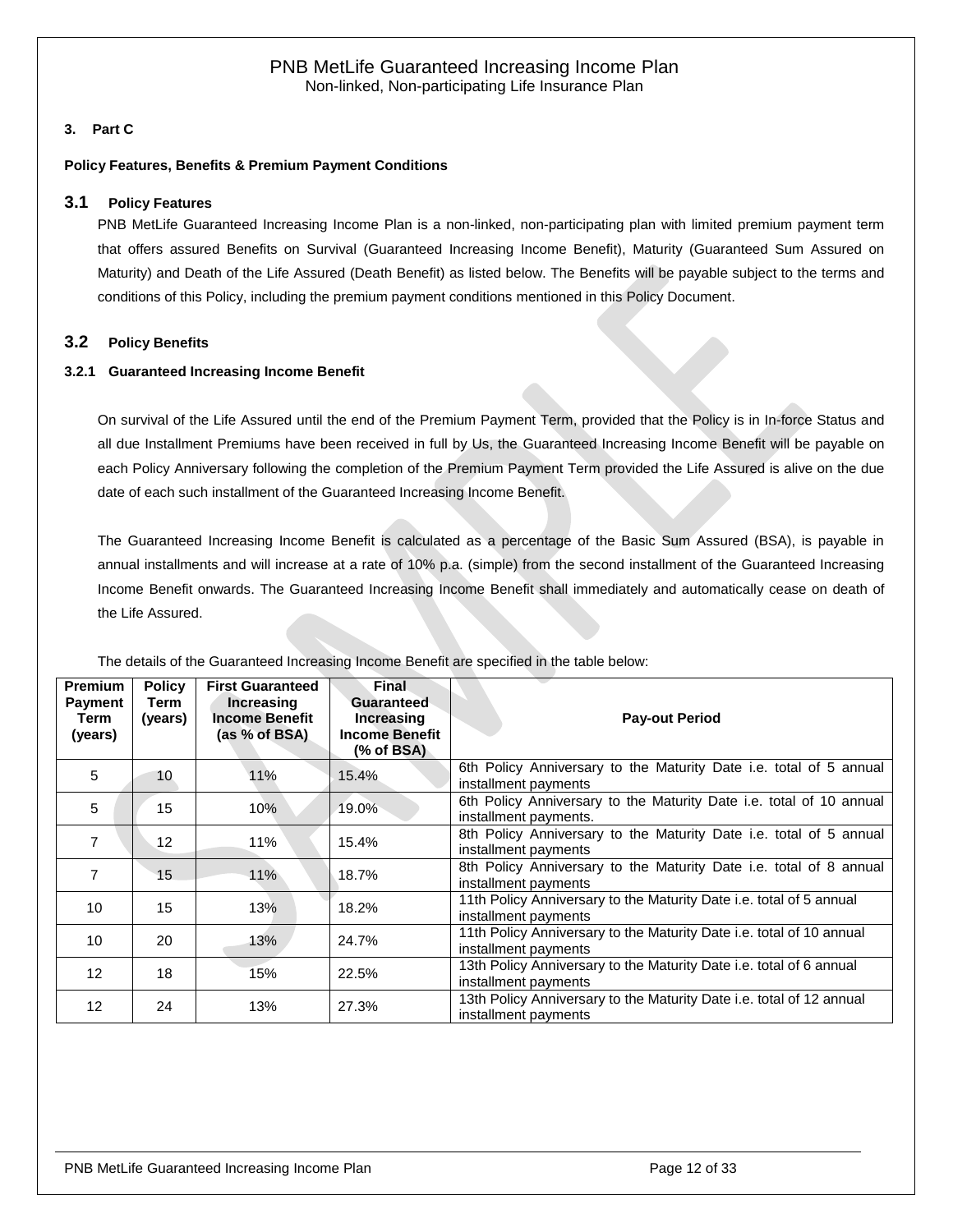# <span id="page-11-0"></span>**3. Part C**

#### <span id="page-11-1"></span>**Policy Features, Benefits & Premium Payment Conditions**

#### **3.1 Policy Features**

PNB MetLife Guaranteed Increasing Income Plan is a non-linked, non-participating plan with limited premium payment term that offers assured Benefits on Survival (Guaranteed Increasing Income Benefit), Maturity (Guaranteed Sum Assured on Maturity) and Death of the Life Assured (Death Benefit) as listed below. The Benefits will be payable subject to the terms and conditions of this Policy, including the premium payment conditions mentioned in this Policy Document.

#### <span id="page-11-2"></span>**3.2 Policy Benefits**

#### <span id="page-11-3"></span>**3.2.1 Guaranteed Increasing Income Benefit**

On survival of the Life Assured until the end of the Premium Payment Term, provided that the Policy is in In-force Status and all due Installment Premiums have been received in full by Us, the Guaranteed Increasing Income Benefit will be payable on each Policy Anniversary following the completion of the Premium Payment Term provided the Life Assured is alive on the due date of each such installment of the Guaranteed Increasing Income Benefit.

The Guaranteed Increasing Income Benefit is calculated as a percentage of the Basic Sum Assured (BSA), is payable in annual installments and will increase at a rate of 10% p.a. (simple) from the second installment of the Guaranteed Increasing Income Benefit onwards. The Guaranteed Increasing Income Benefit shall immediately and automatically cease on death of the Life Assured.

| <b>Premium</b><br><b>Payment</b><br>Term<br>(years) | <b>Policy</b><br>Term<br>(years) | <b>First Guaranteed</b><br><b>Increasing</b><br><b>Income Benefit</b><br>(as % of BSA) | <b>Final</b><br><b>Guaranteed</b><br>Increasing<br><b>Income Benefit</b><br>(% of BSA) | <b>Pay-out Period</b>                                                                        |
|-----------------------------------------------------|----------------------------------|----------------------------------------------------------------------------------------|----------------------------------------------------------------------------------------|----------------------------------------------------------------------------------------------|
| 5                                                   | 10                               | 11%                                                                                    | 15.4%                                                                                  | 6th Policy Anniversary to the Maturity Date i.e. total of 5 annual<br>installment payments   |
| 5                                                   | 15                               | 10%                                                                                    | 19.0%                                                                                  | 6th Policy Anniversary to the Maturity Date i.e. total of 10 annual<br>installment payments. |
| $\overline{7}$                                      | 12                               | 11%                                                                                    | 15.4%                                                                                  | 8th Policy Anniversary to the Maturity Date i.e. total of 5 annual<br>installment payments   |
| $\overline{7}$                                      | 15                               | 11%                                                                                    | 18.7%                                                                                  | 8th Policy Anniversary to the Maturity Date i.e. total of 8 annual<br>installment payments   |
| 10                                                  | 15                               | 13%                                                                                    | 18.2%                                                                                  | 11th Policy Anniversary to the Maturity Date i.e. total of 5 annual<br>installment payments  |
| 10                                                  | 20                               | 13%                                                                                    | 24.7%                                                                                  | 11th Policy Anniversary to the Maturity Date i.e. total of 10 annual<br>installment payments |
| 12 <sup>°</sup>                                     | 18                               | 15%                                                                                    | 22.5%                                                                                  | 13th Policy Anniversary to the Maturity Date i.e. total of 6 annual<br>installment payments  |
| $12 \overline{ }$                                   | 24                               | 13%                                                                                    | 27.3%                                                                                  | 13th Policy Anniversary to the Maturity Date i.e. total of 12 annual<br>installment payments |

The details of the Guaranteed Increasing Income Benefit are specified in the table below: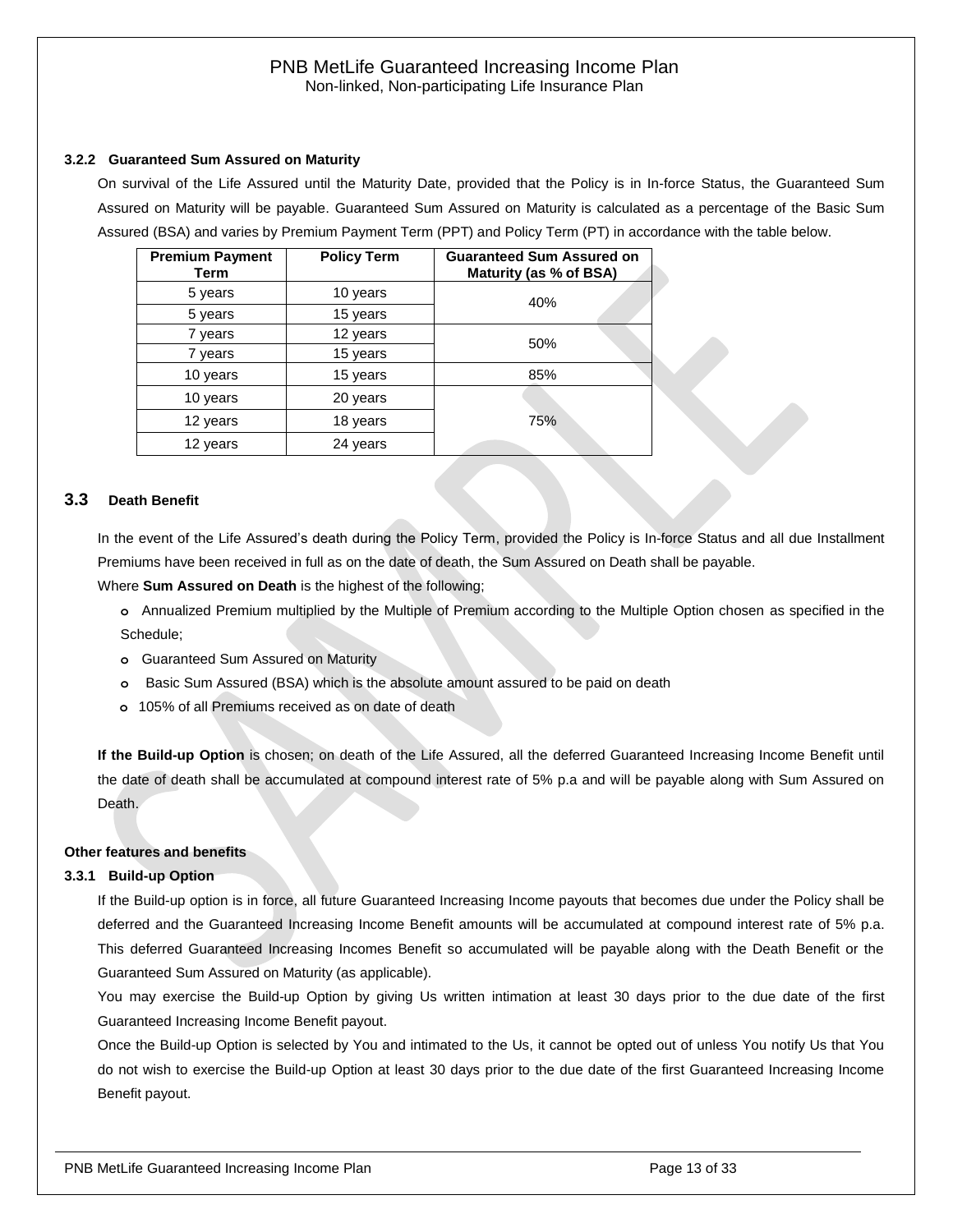#### <span id="page-12-0"></span>**3.2.2 Guaranteed Sum Assured on Maturity**

On survival of the Life Assured until the Maturity Date, provided that the Policy is in In-force Status, the Guaranteed Sum Assured on Maturity will be payable. Guaranteed Sum Assured on Maturity is calculated as a percentage of the Basic Sum Assured (BSA) and varies by Premium Payment Term (PPT) and Policy Term (PT) in accordance with the table below.

| <b>Premium Payment</b><br>Term | <b>Policy Term</b> | <b>Guaranteed Sum Assured on</b><br>Maturity (as % of BSA) |
|--------------------------------|--------------------|------------------------------------------------------------|
| 5 years                        | 10 years           | 40%                                                        |
| 5 years                        | 15 years           |                                                            |
| 7 years                        | 12 years           | 50%                                                        |
| 7 years                        | 15 years           |                                                            |
| 10 years                       | 15 years           | 85%                                                        |
| 10 years<br>20 years           |                    |                                                            |
| 12 years<br>18 years           |                    | 75%                                                        |
| 12 years                       | 24 years           |                                                            |

#### <span id="page-12-1"></span>**3.3 Death Benefit**

In the event of the Life Assured's death during the Policy Term, provided the Policy is In-force Status and all due Installment Premiums have been received in full as on the date of death, the Sum Assured on Death shall be payable.

Where **Sum Assured on Death** is the highest of the following;

**o** Annualized Premium multiplied by the Multiple of Premium according to the Multiple Option chosen as specified in the Schedule;

- **o** Guaranteed Sum Assured on Maturity
- **o** Basic Sum Assured (BSA) which is the absolute amount assured to be paid on death
- **o** 105% of all Premiums received as on date of death

**If the Build-up Option** is chosen; on death of the Life Assured, all the deferred Guaranteed Increasing Income Benefit until the date of death shall be accumulated at compound interest rate of 5% p.a and will be payable along with Sum Assured on Death.

#### **Other features and benefits**

#### <span id="page-12-2"></span>**3.3.1 Build-up Option**

If the Build-up option is in force, all future Guaranteed Increasing Income payouts that becomes due under the Policy shall be deferred and the Guaranteed Increasing Income Benefit amounts will be accumulated at compound interest rate of 5% p.a. This deferred Guaranteed Increasing Incomes Benefit so accumulated will be payable along with the Death Benefit or the Guaranteed Sum Assured on Maturity (as applicable).

You may exercise the Build-up Option by giving Us written intimation at least 30 days prior to the due date of the first Guaranteed Increasing Income Benefit payout.

Once the Build-up Option is selected by You and intimated to the Us, it cannot be opted out of unless You notify Us that You do not wish to exercise the Build-up Option at least 30 days prior to the due date of the first Guaranteed Increasing Income Benefit payout.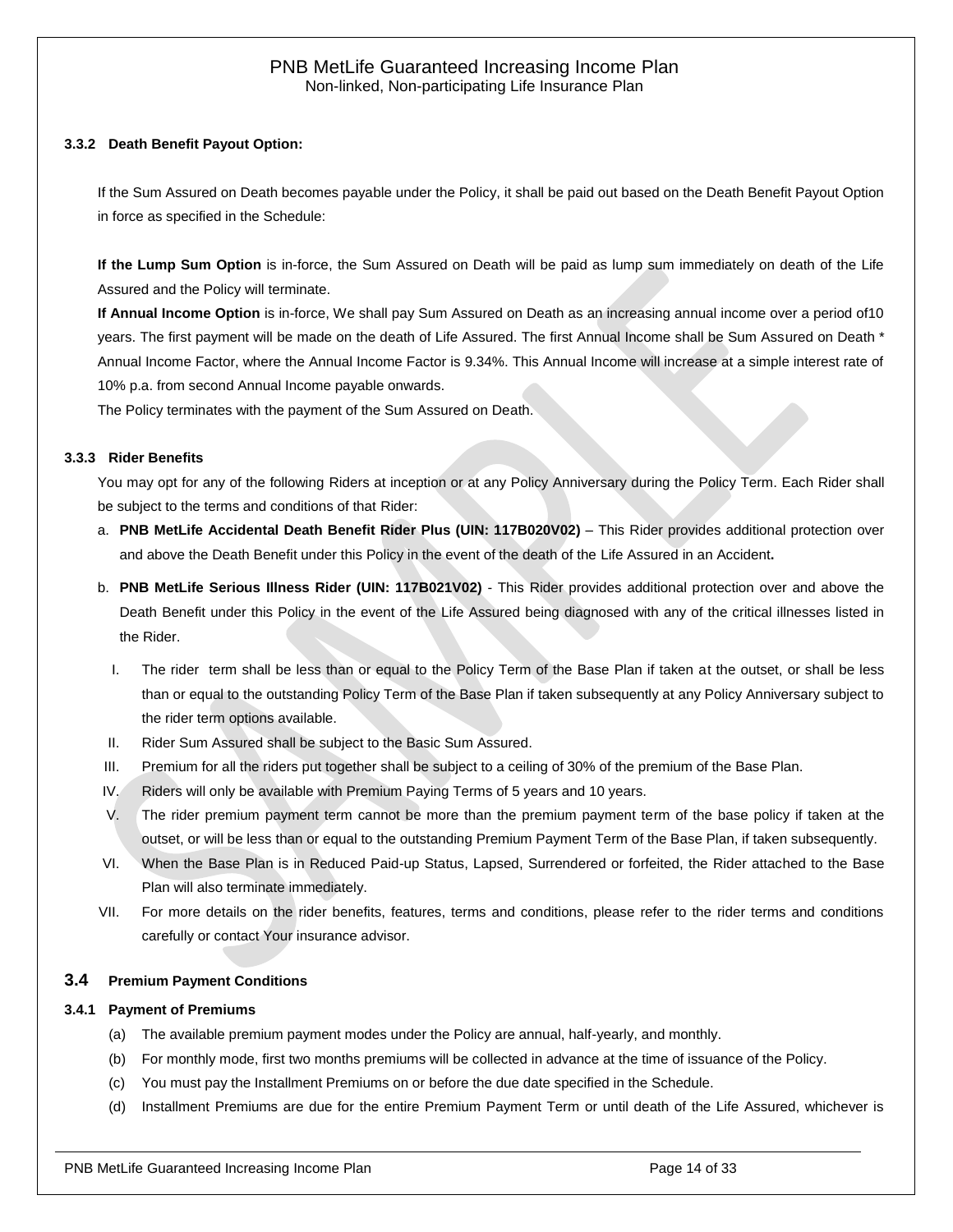#### **3.3.2 Death Benefit Payout Option:**

If the Sum Assured on Death becomes payable under the Policy, it shall be paid out based on the Death Benefit Payout Option in force as specified in the Schedule:

**If the Lump Sum Option** is in-force, the Sum Assured on Death will be paid as lump sum immediately on death of the Life Assured and the Policy will terminate.

**If Annual Income Option** is in-force, We shall pay Sum Assured on Death as an increasing annual income over a period of10 years. The first payment will be made on the death of Life Assured. The first Annual Income shall be Sum Assured on Death \* Annual Income Factor, where the Annual Income Factor is 9.34%. This Annual Income will increase at a simple interest rate of 10% p.a. from second Annual Income payable onwards.

The Policy terminates with the payment of the Sum Assured on Death.

#### <span id="page-13-0"></span>**3.3.3 Rider Benefits**

You may opt for any of the following Riders at inception or at any Policy Anniversary during the Policy Term. Each Rider shall be subject to the terms and conditions of that Rider:

- a. **PNB MetLife Accidental Death Benefit Rider Plus (UIN: 117B020V02)** This Rider provides additional protection over and above the Death Benefit under this Policy in the event of the death of the Life Assured in an Accident**.**
- b. **PNB MetLife Serious Illness Rider (UIN: 117B021V02)** This Rider provides additional protection over and above the Death Benefit under this Policy in the event of the Life Assured being diagnosed with any of the critical illnesses listed in the Rider.
	- I. The rider term shall be less than or equal to the Policy Term of the Base Plan if taken at the outset, or shall be less than or equal to the outstanding Policy Term of the Base Plan if taken subsequently at any Policy Anniversary subject to the rider term options available.
- II. Rider Sum Assured shall be subject to the Basic Sum Assured.
- III. Premium for all the riders put together shall be subject to a ceiling of 30% of the premium of the Base Plan.
- IV. Riders will only be available with Premium Paying Terms of 5 years and 10 years.
- V. The rider premium payment term cannot be more than the premium payment term of the base policy if taken at the outset, or will be less than or equal to the outstanding Premium Payment Term of the Base Plan, if taken subsequently.
- VI. When the Base Plan is in Reduced Paid-up Status, Lapsed, Surrendered or forfeited, the Rider attached to the Base Plan will also terminate immediately.
- VII. For more details on the rider benefits, features, terms and conditions, please refer to the rider terms and conditions carefully or contact Your insurance advisor.

#### <span id="page-13-1"></span>**3.4 Premium Payment Conditions**

#### <span id="page-13-2"></span>**3.4.1 Payment of Premiums**

- (a) The available premium payment modes under the Policy are annual, half-yearly, and monthly.
- (b) For monthly mode, first two months premiums will be collected in advance at the time of issuance of the Policy.
- (c) You must pay the Installment Premiums on or before the due date specified in the Schedule.
- (d) Installment Premiums are due for the entire Premium Payment Term or until death of the Life Assured, whichever is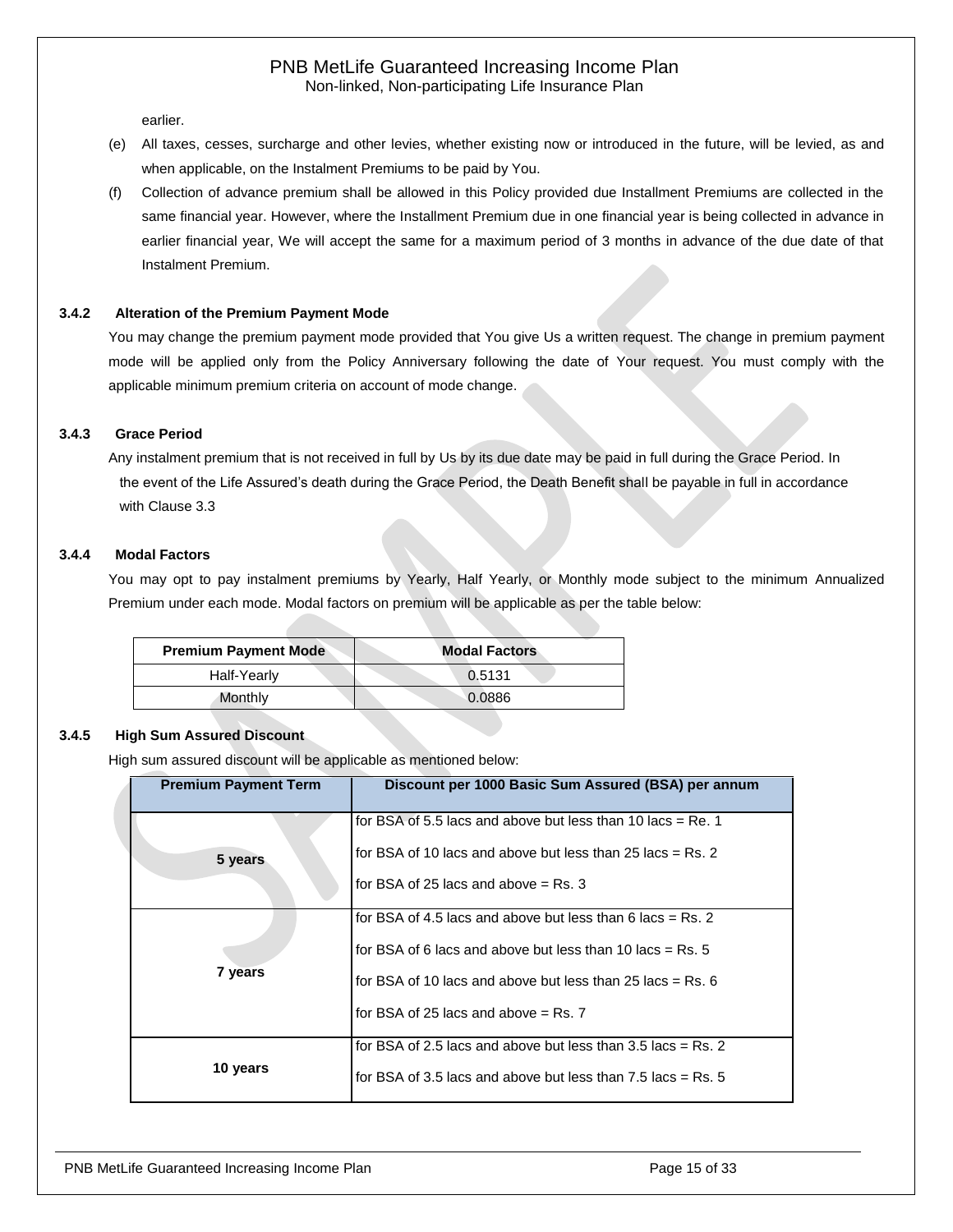earlier.

- (e) All taxes, cesses, surcharge and other levies, whether existing now or introduced in the future, will be levied, as and when applicable, on the Instalment Premiums to be paid by You.
- (f) Collection of advance premium shall be allowed in this Policy provided due Installment Premiums are collected in the same financial year. However, where the Installment Premium due in one financial year is being collected in advance in earlier financial year, We will accept the same for a maximum period of 3 months in advance of the due date of that Instalment Premium.

#### <span id="page-14-0"></span>**3.4.2 Alteration of the Premium Payment Mode**

You may change the premium payment mode provided that You give Us a written request. The change in premium payment mode will be applied only from the Policy Anniversary following the date of Your request. You must comply with the applicable minimum premium criteria on account of mode change.

#### <span id="page-14-1"></span>**3.4.3 Grace Period**

Any instalment premium that is not received in full by Us by its due date may be paid in full during the Grace Period. In the event of the Life Assured's death during the Grace Period, the Death Benefit shall be payable in full in accordance with Clause 3.3

#### <span id="page-14-2"></span>**3.4.4 Modal Factors**

You may opt to pay instalment premiums by Yearly, Half Yearly, or Monthly mode subject to the minimum Annualized Premium under each mode. Modal factors on premium will be applicable as per the table below:

| <b>Premium Payment Mode</b> | <b>Modal Factors</b> |
|-----------------------------|----------------------|
| Half-Yearly                 | 0.5131               |
| Monthly                     | 0.0886               |

#### <span id="page-14-3"></span>**3.4.5 High Sum Assured Discount**

High sum assured discount will be applicable as mentioned below:

| <b>Premium Payment Term</b> | Discount per 1000 Basic Sum Assured (BSA) per annum                                                                                                                                                                                 |
|-----------------------------|-------------------------------------------------------------------------------------------------------------------------------------------------------------------------------------------------------------------------------------|
| 5 years                     | for BSA of 5.5 lacs and above but less than 10 lacs $=$ Re. 1<br>for BSA of 10 lacs and above but less than $25$ lacs = Rs. 2<br>for BSA of 25 lacs and above $=$ Rs. 3                                                             |
| 7 years                     | for BSA of 4.5 lacs and above but less than 6 lacs = Rs. 2<br>for BSA of 6 lacs and above but less than 10 lacs = $Rs. 5$<br>for BSA of 10 lacs and above but less than 25 lacs $=$ Rs. 6<br>for BSA of 25 lacs and above $=$ Rs. 7 |
| 10 years                    | for BSA of 2.5 lacs and above but less than $3.5$ lacs = Rs. 2<br>for BSA of 3.5 lacs and above but less than $7.5$ lacs = Rs. 5                                                                                                    |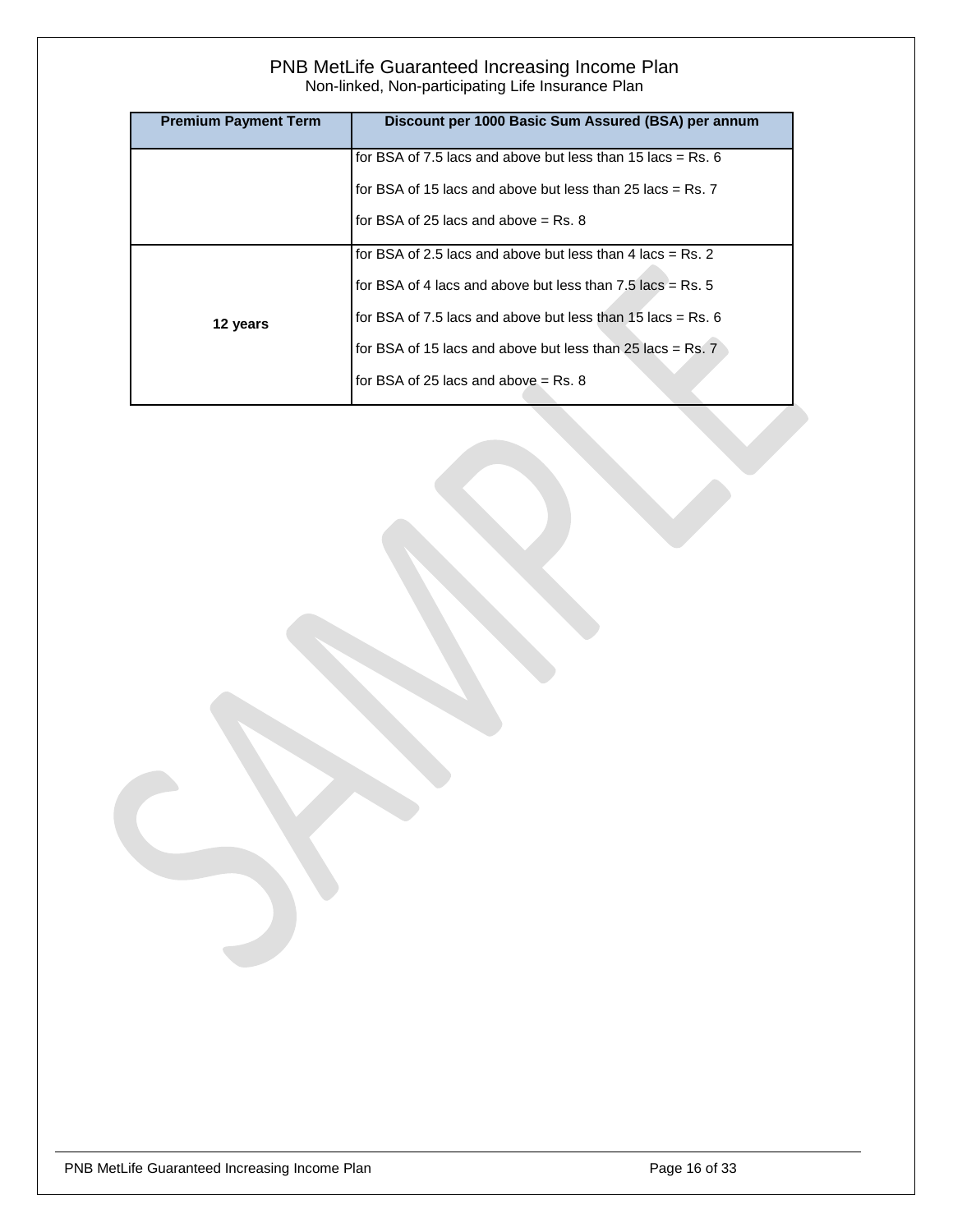| <b>Premium Payment Term</b> | Discount per 1000 Basic Sum Assured (BSA) per annum           |
|-----------------------------|---------------------------------------------------------------|
|                             | for BSA of 7.5 lacs and above but less than 15 lacs = Rs. $6$ |
|                             | for BSA of 15 lacs and above but less than 25 lacs $=$ Rs. 7  |
|                             | for BSA of 25 lacs and above $=$ Rs. 8                        |
|                             | for BSA of 2.5 lacs and above but less than 4 lacs = Rs. 2    |
|                             | for BSA of 4 lacs and above but less than $7.5$ lacs = Rs. 5  |
| 12 years                    | for BSA of 7.5 lacs and above but less than 15 lacs = Rs. $6$ |
|                             | for BSA of 15 lacs and above but less than 25 lacs = $Rs.7$   |
|                             | for BSA of 25 lacs and above $=$ Rs. 8                        |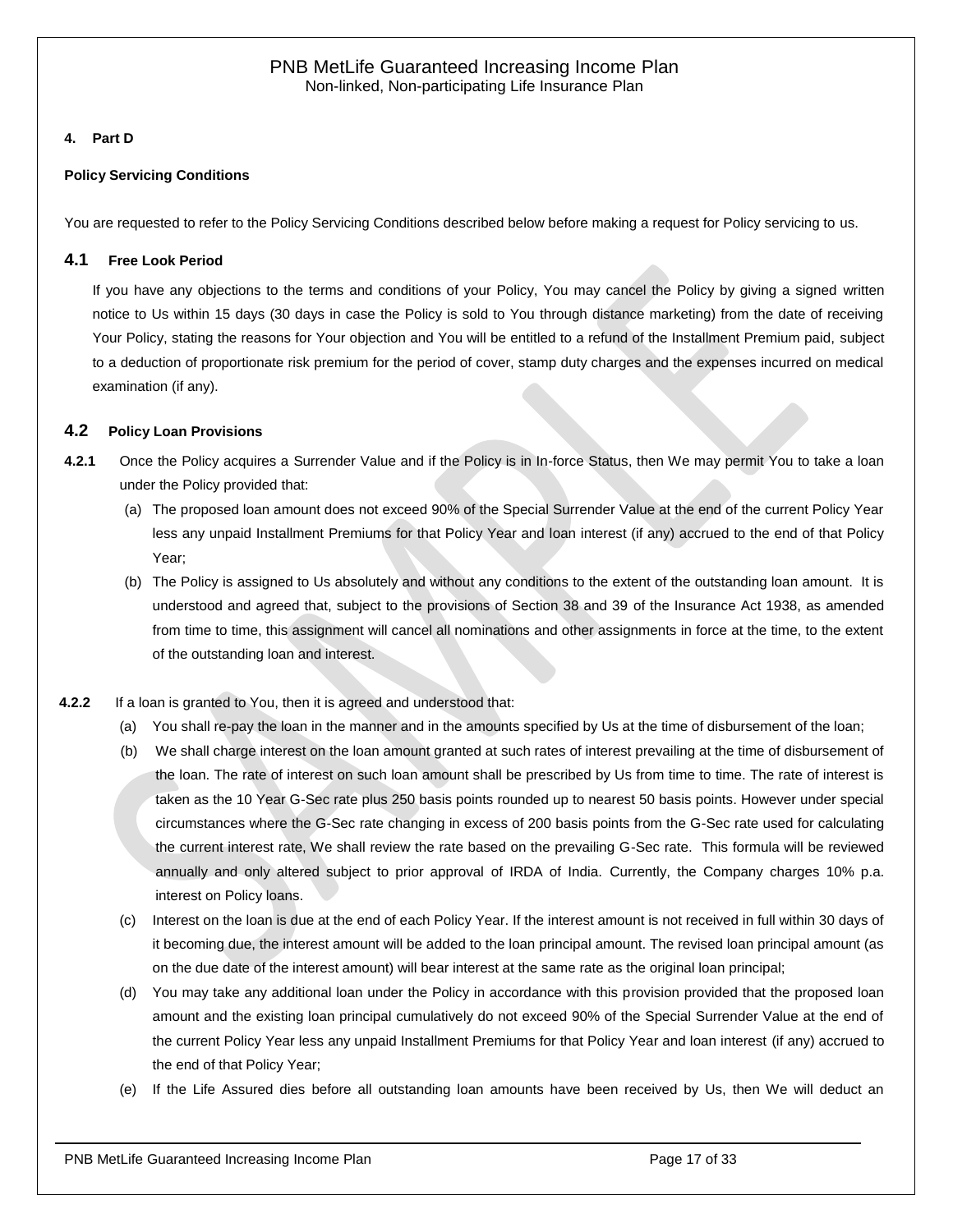# <span id="page-16-0"></span>**4. Part D**

#### **Policy Servicing Conditions**

<span id="page-16-1"></span>You are requested to refer to the Policy Servicing Conditions described below before making a request for Policy servicing to us.

# **4.1 Free Look Period**

If you have any objections to the terms and conditions of your Policy, You may cancel the Policy by giving a signed written notice to Us within 15 days (30 days in case the Policy is sold to You through distance marketing) from the date of receiving Your Policy, stating the reasons for Your objection and You will be entitled to a refund of the Installment Premium paid, subject to a deduction of proportionate risk premium for the period of cover, stamp duty charges and the expenses incurred on medical examination (if any).

# <span id="page-16-2"></span>**4.2 Policy Loan Provisions**

- **4.2.1** Once the Policy acquires a Surrender Value and if the Policy is in In-force Status, then We may permit You to take a loan under the Policy provided that:
	- (a) The proposed loan amount does not exceed 90% of the Special Surrender Value at the end of the current Policy Year less any unpaid Installment Premiums for that Policy Year and loan interest (if any) accrued to the end of that Policy Year;
	- (b) The Policy is assigned to Us absolutely and without any conditions to the extent of the outstanding loan amount. It is understood and agreed that, subject to the provisions of Section 38 and 39 of the Insurance Act 1938, as amended from time to time, this assignment will cancel all nominations and other assignments in force at the time, to the extent of the outstanding loan and interest.
- **4.2.2** If a loan is granted to You, then it is agreed and understood that:
	- (a) You shall re-pay the loan in the manner and in the amounts specified by Us at the time of disbursement of the loan;
	- (b) We shall charge interest on the loan amount granted at such rates of interest prevailing at the time of disbursement of the loan. The rate of interest on such loan amount shall be prescribed by Us from time to time. The rate of interest is taken as the 10 Year G-Sec rate plus 250 basis points rounded up to nearest 50 basis points. However under special circumstances where the G-Sec rate changing in excess of 200 basis points from the G-Sec rate used for calculating the current interest rate, We shall review the rate based on the prevailing G-Sec rate. This formula will be reviewed annually and only altered subject to prior approval of IRDA of India. Currently, the Company charges 10% p.a. interest on Policy loans.
	- (c) Interest on the loan is due at the end of each Policy Year. If the interest amount is not received in full within 30 days of it becoming due, the interest amount will be added to the loan principal amount. The revised loan principal amount (as on the due date of the interest amount) will bear interest at the same rate as the original loan principal;
	- (d) You may take any additional loan under the Policy in accordance with this provision provided that the proposed loan amount and the existing loan principal cumulatively do not exceed 90% of the Special Surrender Value at the end of the current Policy Year less any unpaid Installment Premiums for that Policy Year and loan interest (if any) accrued to the end of that Policy Year;
	- (e) If the Life Assured dies before all outstanding loan amounts have been received by Us, then We will deduct an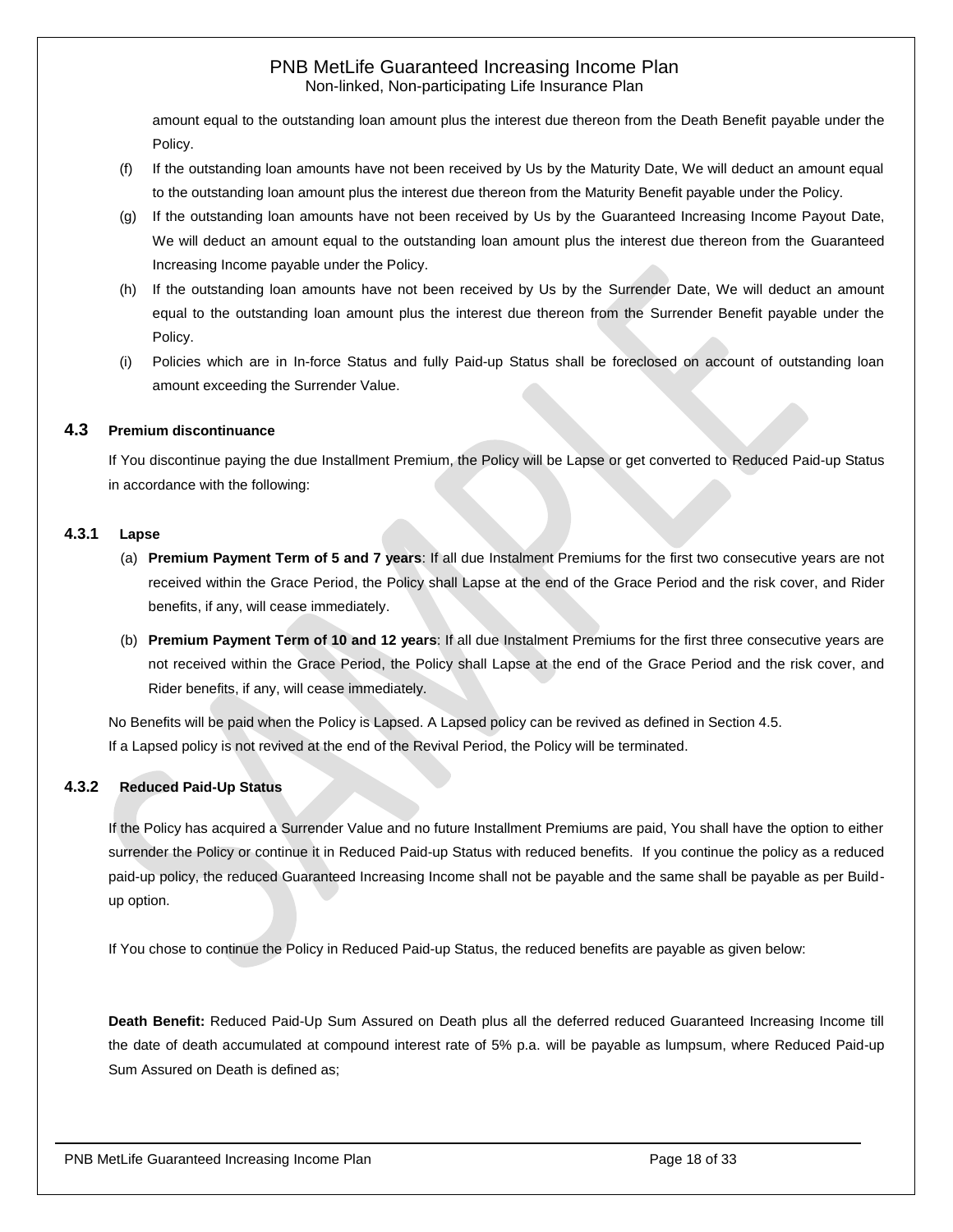amount equal to the outstanding loan amount plus the interest due thereon from the Death Benefit payable under the Policy.

- (f) If the outstanding loan amounts have not been received by Us by the Maturity Date, We will deduct an amount equal to the outstanding loan amount plus the interest due thereon from the Maturity Benefit payable under the Policy.
- (g) If the outstanding loan amounts have not been received by Us by the Guaranteed Increasing Income Payout Date, We will deduct an amount equal to the outstanding loan amount plus the interest due thereon from the Guaranteed Increasing Income payable under the Policy.
- (h) If the outstanding loan amounts have not been received by Us by the Surrender Date, We will deduct an amount equal to the outstanding loan amount plus the interest due thereon from the Surrender Benefit payable under the Policy.
- (i) Policies which are in In-force Status and fully Paid-up Status shall be foreclosed on account of outstanding loan amount exceeding the Surrender Value.

#### <span id="page-17-0"></span>**4.3 Premium discontinuance**

If You discontinue paying the due Installment Premium, the Policy will be Lapse or get converted to Reduced Paid-up Status in accordance with the following:

#### **4.3.1 Lapse**

- (a) **Premium Payment Term of 5 and 7 years**: If all due Instalment Premiums for the first two consecutive years are not received within the Grace Period, the Policy shall Lapse at the end of the Grace Period and the risk cover, and Rider benefits, if any, will cease immediately.
- (b) **Premium Payment Term of 10 and 12 years**: If all due Instalment Premiums for the first three consecutive years are not received within the Grace Period, the Policy shall Lapse at the end of the Grace Period and the risk cover, and Rider benefits, if any, will cease immediately.

No Benefits will be paid when the Policy is Lapsed. A Lapsed policy can be revived as defined in Section 4.5. If a Lapsed policy is not revived at the end of the Revival Period, the Policy will be terminated.

# **4.3.2 Reduced Paid-Up Status**

If the Policy has acquired a Surrender Value and no future Installment Premiums are paid, You shall have the option to either surrender the Policy or continue it in Reduced Paid-up Status with reduced benefits. If you continue the policy as a reduced paid-up policy, the reduced Guaranteed Increasing Income shall not be payable and the same shall be payable as per Buildup option.

If You chose to continue the Policy in Reduced Paid-up Status, the reduced benefits are payable as given below:

**Death Benefit:** Reduced Paid-Up Sum Assured on Death plus all the deferred reduced Guaranteed Increasing Income till the date of death accumulated at compound interest rate of 5% p.a. will be payable as lumpsum, where Reduced Paid-up Sum Assured on Death is defined as;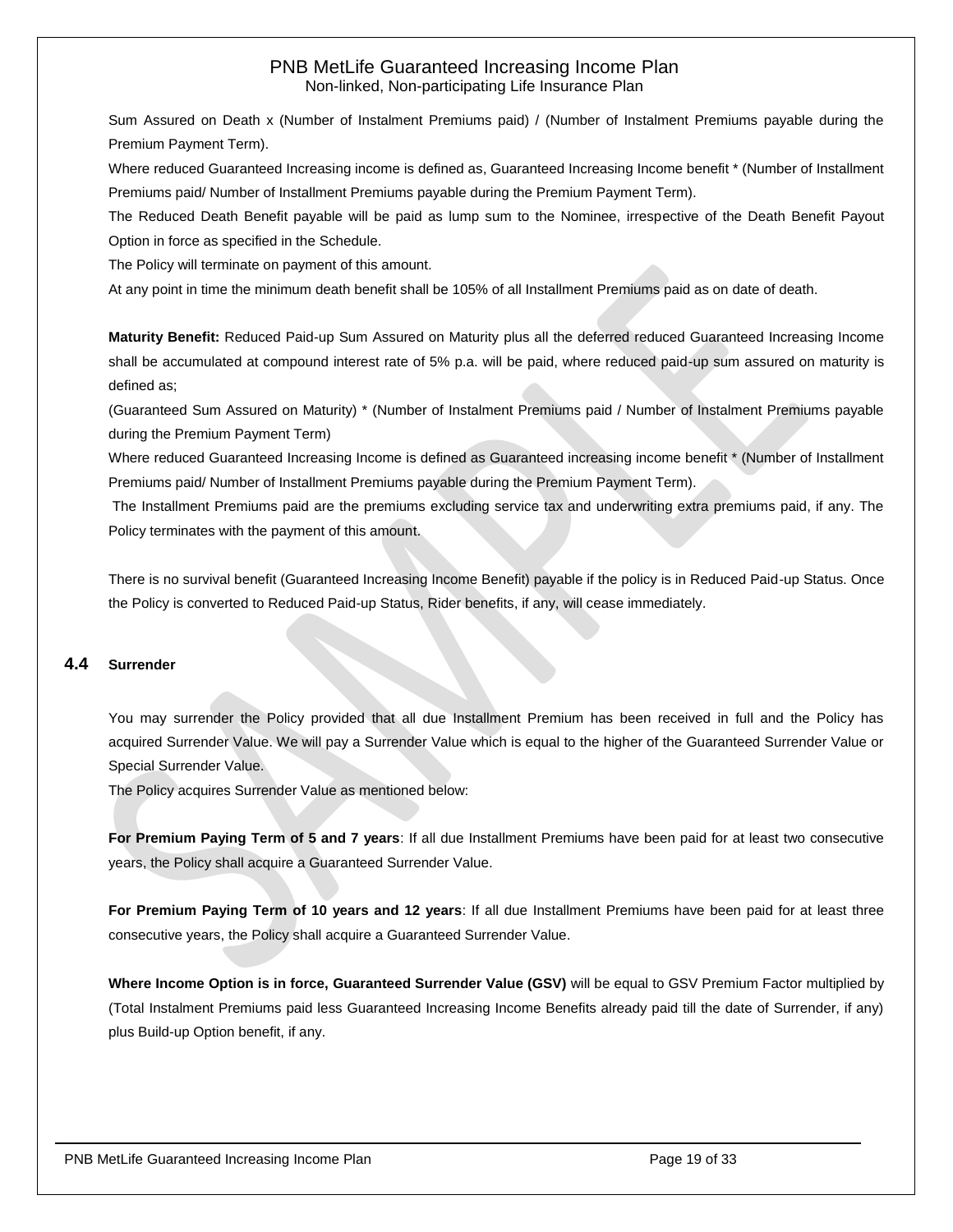Sum Assured on Death x (Number of Instalment Premiums paid) / (Number of Instalment Premiums payable during the Premium Payment Term).

Where reduced Guaranteed Increasing income is defined as, Guaranteed Increasing Income benefit \* (Number of Installment Premiums paid/ Number of Installment Premiums payable during the Premium Payment Term).

The Reduced Death Benefit payable will be paid as lump sum to the Nominee, irrespective of the Death Benefit Payout Option in force as specified in the Schedule.

The Policy will terminate on payment of this amount.

At any point in time the minimum death benefit shall be 105% of all Installment Premiums paid as on date of death.

**Maturity Benefit:** Reduced Paid-up Sum Assured on Maturity plus all the deferred reduced Guaranteed Increasing Income shall be accumulated at compound interest rate of 5% p.a. will be paid, where reduced paid-up sum assured on maturity is defined as;

(Guaranteed Sum Assured on Maturity) \* (Number of Instalment Premiums paid / Number of Instalment Premiums payable during the Premium Payment Term)

Where reduced Guaranteed Increasing Income is defined as Guaranteed increasing income benefit \* (Number of Installment Premiums paid/ Number of Installment Premiums payable during the Premium Payment Term).

The Installment Premiums paid are the premiums excluding service tax and underwriting extra premiums paid, if any. The Policy terminates with the payment of this amount.

There is no survival benefit (Guaranteed Increasing Income Benefit) payable if the policy is in Reduced Paid-up Status. Once the Policy is converted to Reduced Paid-up Status, Rider benefits, if any, will cease immediately.

# <span id="page-18-0"></span>**4.4 Surrender**

You may surrender the Policy provided that all due Installment Premium has been received in full and the Policy has acquired Surrender Value. We will pay a Surrender Value which is equal to the higher of the Guaranteed Surrender Value or Special Surrender Value.

The Policy acquires Surrender Value as mentioned below:

**For Premium Paying Term of 5 and 7 years**: If all due Installment Premiums have been paid for at least two consecutive years, the Policy shall acquire a Guaranteed Surrender Value.

**For Premium Paying Term of 10 years and 12 years**: If all due Installment Premiums have been paid for at least three consecutive years, the Policy shall acquire a Guaranteed Surrender Value.

**Where Income Option is in force, Guaranteed Surrender Value (GSV)** will be equal to GSV Premium Factor multiplied by (Total Instalment Premiums paid less Guaranteed Increasing Income Benefits already paid till the date of Surrender, if any) plus Build-up Option benefit, if any.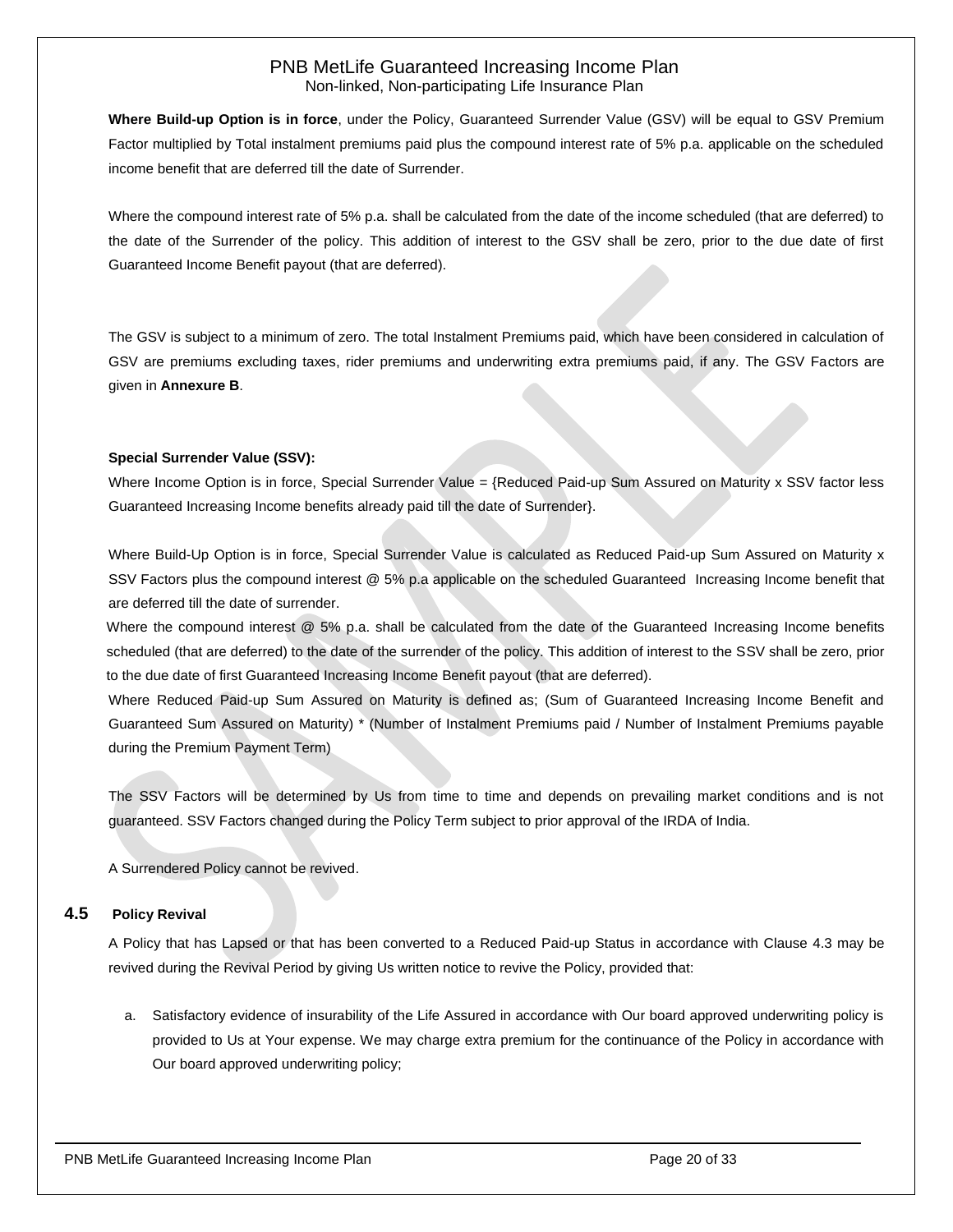**Where Build-up Option is in force**, under the Policy, Guaranteed Surrender Value (GSV) will be equal to GSV Premium Factor multiplied by Total instalment premiums paid plus the compound interest rate of 5% p.a. applicable on the scheduled income benefit that are deferred till the date of Surrender.

Where the compound interest rate of 5% p.a. shall be calculated from the date of the income scheduled (that are deferred) to the date of the Surrender of the policy. This addition of interest to the GSV shall be zero, prior to the due date of first Guaranteed Income Benefit payout (that are deferred).

The GSV is subject to a minimum of zero. The total Instalment Premiums paid, which have been considered in calculation of GSV are premiums excluding taxes, rider premiums and underwriting extra premiums paid, if any. The GSV Factors are given in **Annexure B**.

#### **Special Surrender Value (SSV):**

Where Income Option is in force, Special Surrender Value = {Reduced Paid-up Sum Assured on Maturity  $x$  SSV factor less Guaranteed Increasing Income benefits already paid till the date of Surrender}.

Where Build-Up Option is in force, Special Surrender Value is calculated as Reduced Paid-up Sum Assured on Maturity x SSV Factors plus the compound interest @ 5% p.a applicable on the scheduled Guaranteed Increasing Income benefit that are deferred till the date of surrender.

Where the compound interest @ 5% p.a. shall be calculated from the date of the Guaranteed Increasing Income benefits scheduled (that are deferred) to the date of the surrender of the policy. This addition of interest to the SSV shall be zero, prior to the due date of first Guaranteed Increasing Income Benefit payout (that are deferred).

Where Reduced Paid-up Sum Assured on Maturity is defined as; (Sum of Guaranteed Increasing Income Benefit and Guaranteed Sum Assured on Maturity) \* (Number of Instalment Premiums paid / Number of Instalment Premiums payable during the Premium Payment Term)

The SSV Factors will be determined by Us from time to time and depends on prevailing market conditions and is not guaranteed. SSV Factors changed during the Policy Term subject to prior approval of the IRDA of India.

<span id="page-19-0"></span>A Surrendered Policy cannot be revived.

#### **4.5 Policy Revival**

A Policy that has Lapsed or that has been converted to a Reduced Paid-up Status in accordance with Clause 4.3 may be revived during the Revival Period by giving Us written notice to revive the Policy, provided that:

a. Satisfactory evidence of insurability of the Life Assured in accordance with Our board approved underwriting policy is provided to Us at Your expense. We may charge extra premium for the continuance of the Policy in accordance with Our board approved underwriting policy;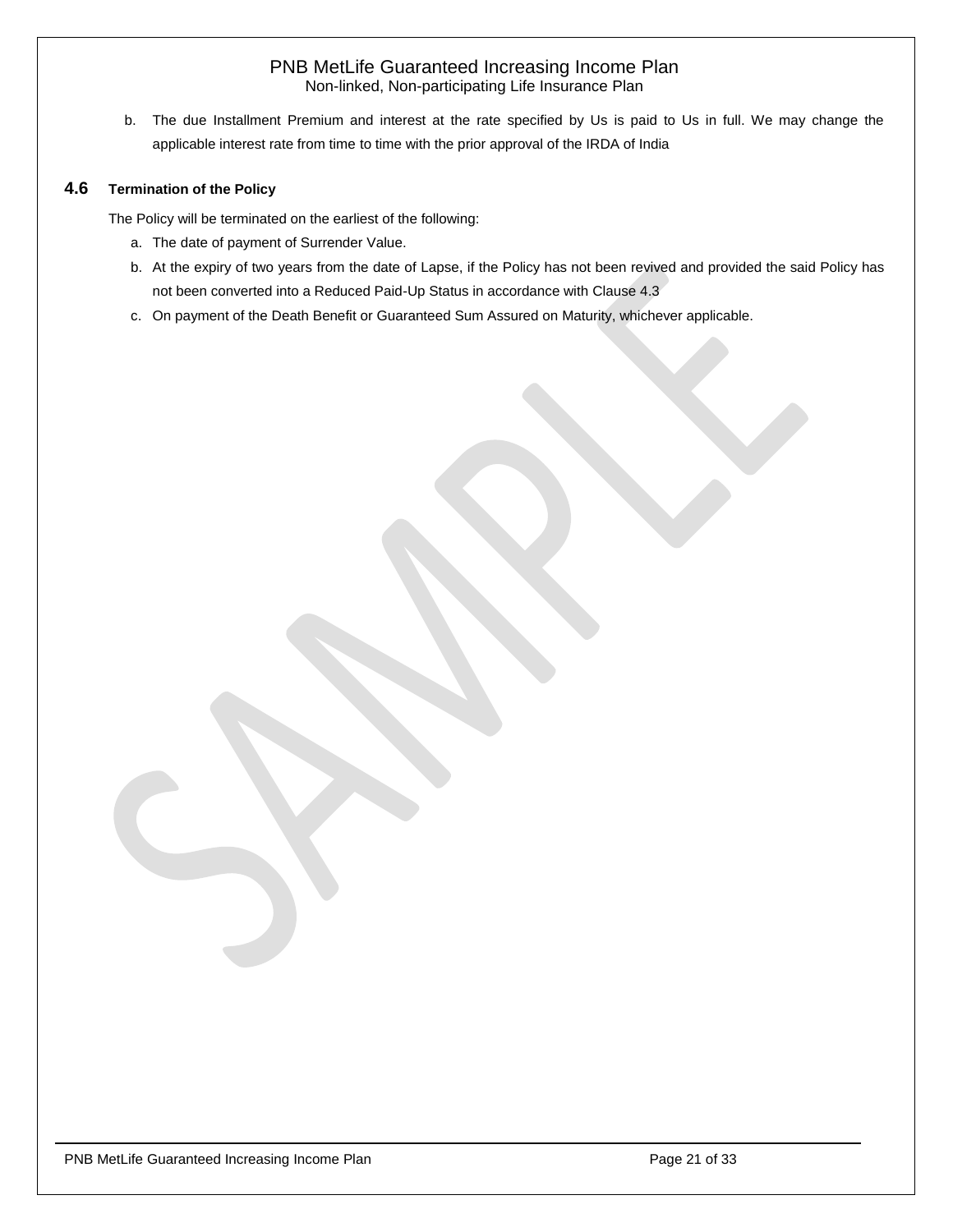b. The due Installment Premium and interest at the rate specified by Us is paid to Us in full. We may change the applicable interest rate from time to time with the prior approval of the IRDA of India

# <span id="page-20-0"></span>**4.6 Termination of the Policy**

The Policy will be terminated on the earliest of the following:

- a. The date of payment of Surrender Value.
- b. At the expiry of two years from the date of Lapse, if the Policy has not been revived and provided the said Policy has not been converted into a Reduced Paid-Up Status in accordance with Clause 4.3
- c. On payment of the Death Benefit or Guaranteed Sum Assured on Maturity, whichever applicable.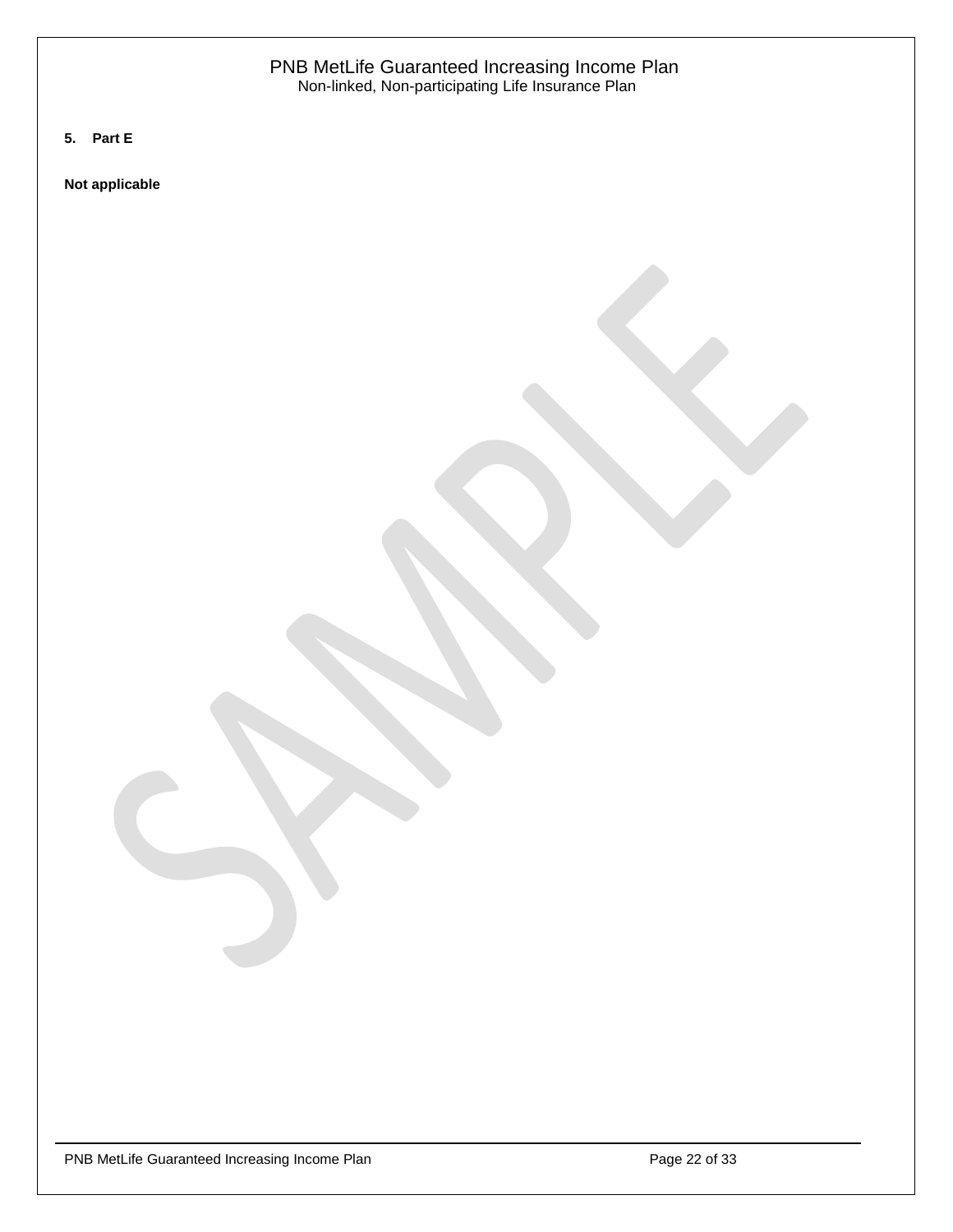<span id="page-21-0"></span>**5. Part E**

**Not applicable**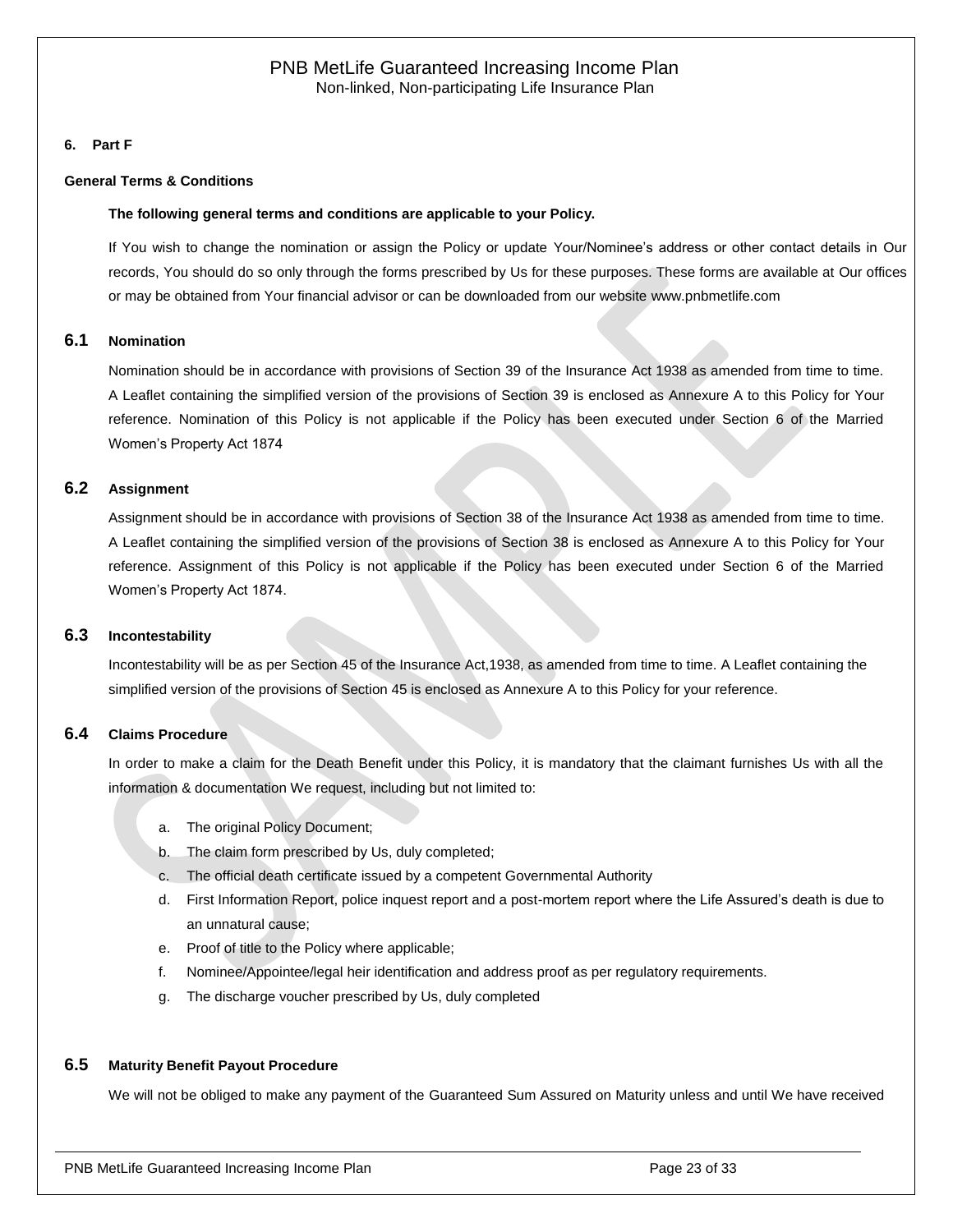#### <span id="page-22-0"></span>**6. Part F**

#### **General Terms & Conditions**

#### **The following general terms and conditions are applicable to your Policy.**

If You wish to change the nomination or assign the Policy or update Your/Nominee's address or other contact details in Our records, You should do so only through the forms prescribed by Us for these purposes. These forms are available at Our offices or may be obtained from Your financial advisor or can be downloaded from our website [www.pnbmetlife.com](http://www.pnbmetlife.com/)

#### <span id="page-22-1"></span>**6.1 Nomination**

Nomination should be in accordance with provisions of Section 39 of the Insurance Act 1938 as amended from time to time. A Leaflet containing the simplified version of the provisions of Section 39 is enclosed as Annexure A to this Policy for Your reference. Nomination of this Policy is not applicable if the Policy has been executed under Section 6 of the Married Women's Property Act 1874

#### <span id="page-22-2"></span>**6.2 Assignment**

Assignment should be in accordance with provisions of Section 38 of the Insurance Act 1938 as amended from time to time. A Leaflet containing the simplified version of the provisions of Section 38 is enclosed as Annexure A to this Policy for Your reference. Assignment of this Policy is not applicable if the Policy has been executed under Section 6 of the Married Women's Property Act 1874.

#### <span id="page-22-3"></span>**6.3 Incontestability**

Incontestability will be as per Section 45 of the Insurance Act,1938, as amended from time to time. A Leaflet containing the simplified version of the provisions of Section 45 is enclosed as Annexure A to this Policy for your reference.

#### <span id="page-22-4"></span>**6.4 Claims Procedure**

In order to make a claim for the Death Benefit under this Policy, it is mandatory that the claimant furnishes Us with all the information & documentation We request, including but not limited to:

- a. The original Policy Document;
- b. The claim form prescribed by Us, duly completed;
- c. The official death certificate issued by a competent Governmental Authority
- d. First Information Report, police inquest report and a post-mortem report where the Life Assured's death is due to an unnatural cause;
- e. Proof of title to the Policy where applicable;
- f. Nominee/Appointee/legal heir identification and address proof as per regulatory requirements.
- g. The discharge voucher prescribed by Us, duly completed

#### <span id="page-22-5"></span>**6.5 Maturity Benefit Payout Procedure**

We will not be obliged to make any payment of the Guaranteed Sum Assured on Maturity unless and until We have received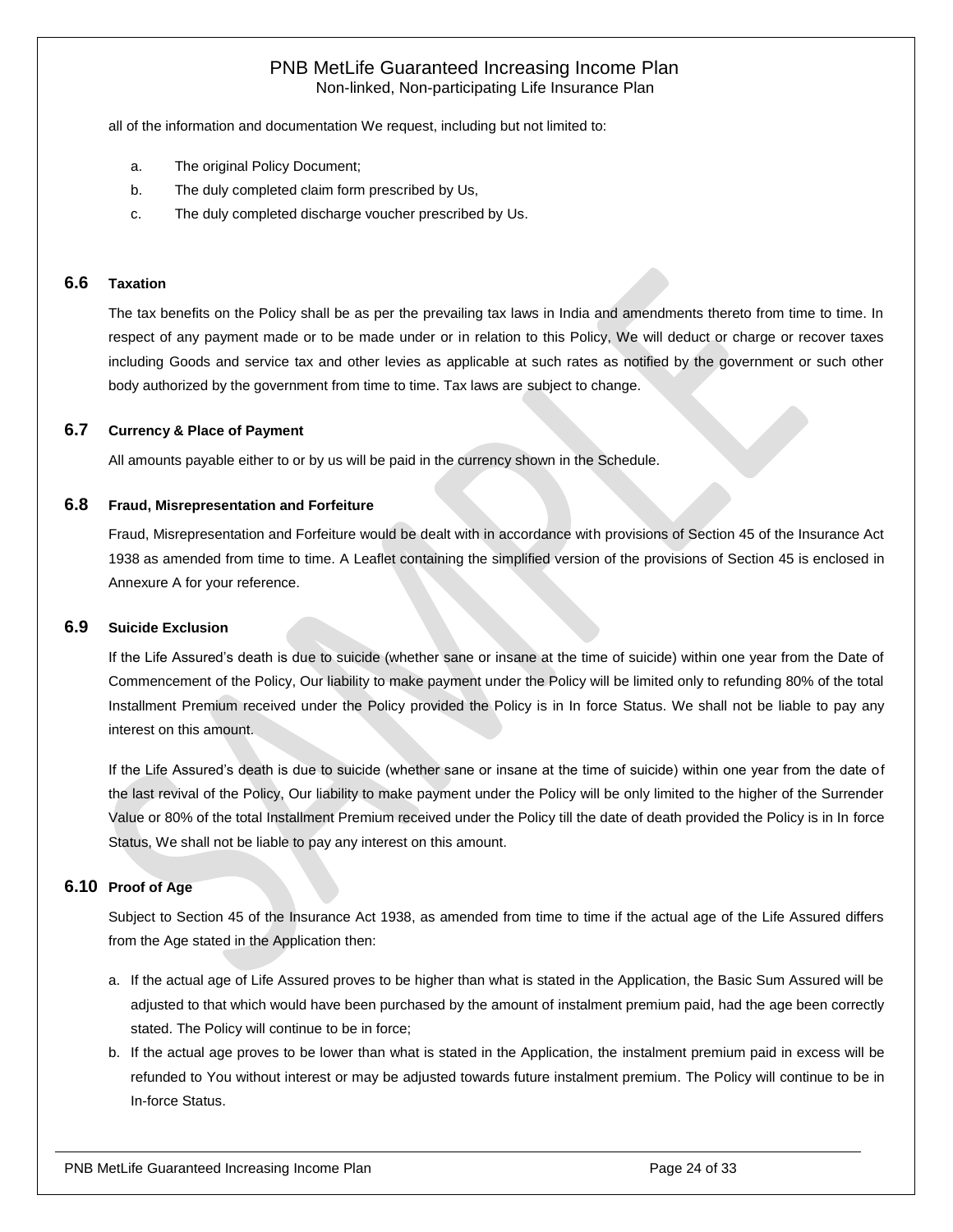all of the information and documentation We request, including but not limited to:

- a. The original Policy Document;
- b. The duly completed claim form prescribed by Us,
- c. The duly completed discharge voucher prescribed by Us.

#### <span id="page-23-0"></span>**6.6 Taxation**

The tax benefits on the Policy shall be as per the prevailing tax laws in India and amendments thereto from time to time. In respect of any payment made or to be made under or in relation to this Policy, We will deduct or charge or recover taxes including Goods and service tax and other levies as applicable at such rates as notified by the government or such other body authorized by the government from time to time. Tax laws are subject to change.

#### <span id="page-23-1"></span>**6.7 Currency & Place of Payment**

All amounts payable either to or by us will be paid in the currency shown in the Schedule.

#### <span id="page-23-2"></span>**6.8 Fraud, Misrepresentation and Forfeiture**

Fraud, Misrepresentation and Forfeiture would be dealt with in accordance with provisions of Section 45 of the Insurance Act 1938 as amended from time to time. A Leaflet containing the simplified version of the provisions of Section 45 is enclosed in Annexure A for your reference.

#### <span id="page-23-3"></span>**6.9 Suicide Exclusion**

If the Life Assured's death is due to suicide (whether sane or insane at the time of suicide) within one year from the Date of Commencement of the Policy, Our liability to make payment under the Policy will be limited only to refunding 80% of the total Installment Premium received under the Policy provided the Policy is in In force Status. We shall not be liable to pay any interest on this amount.

If the Life Assured's death is due to suicide (whether sane or insane at the time of suicide) within one year from the date of the last revival of the Policy, Our liability to make payment under the Policy will be only limited to the higher of the Surrender Value or 80% of the total Installment Premium received under the Policy till the date of death provided the Policy is in In force Status, We shall not be liable to pay any interest on this amount.

#### <span id="page-23-4"></span>**6.10 Proof of Age**

Subject to Section 45 of the Insurance Act 1938, as amended from time to time if the actual age of the Life Assured differs from the Age stated in the Application then:

- a. If the actual age of Life Assured proves to be higher than what is stated in the Application, the Basic Sum Assured will be adjusted to that which would have been purchased by the amount of instalment premium paid, had the age been correctly stated. The Policy will continue to be in force;
- b. If the actual age proves to be lower than what is stated in the Application, the instalment premium paid in excess will be refunded to You without interest or may be adjusted towards future instalment premium. The Policy will continue to be in In-force Status.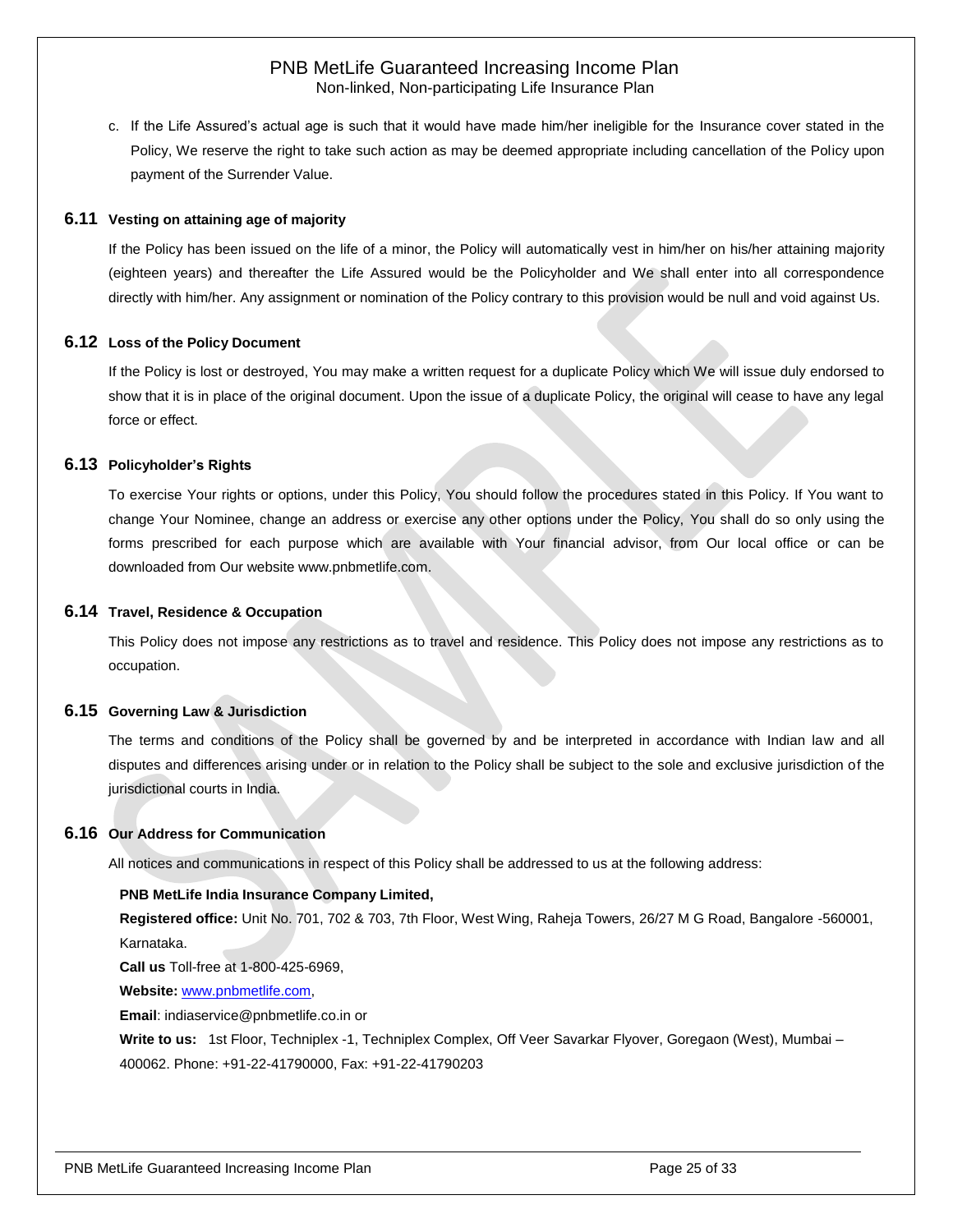c. If the Life Assured's actual age is such that it would have made him/her ineligible for the Insurance cover stated in the Policy, We reserve the right to take such action as may be deemed appropriate including cancellation of the Policy upon payment of the Surrender Value.

#### <span id="page-24-0"></span>**6.11 Vesting on attaining age of majority**

If the Policy has been issued on the life of a minor, the Policy will automatically vest in him/her on his/her attaining majority (eighteen years) and thereafter the Life Assured would be the Policyholder and We shall enter into all correspondence directly with him/her. Any assignment or nomination of the Policy contrary to this provision would be null and void against Us.

#### <span id="page-24-1"></span>**6.12 Loss of the Policy Document**

If the Policy is lost or destroyed, You may make a written request for a duplicate Policy which We will issue duly endorsed to show that it is in place of the original document. Upon the issue of a duplicate Policy, the original will cease to have any legal force or effect.

#### <span id="page-24-2"></span>**6.13 Policyholder's Rights**

To exercise Your rights or options, under this Policy, You should follow the procedures stated in this Policy. If You want to change Your Nominee, change an address or exercise any other options under the Policy, You shall do so only using the forms prescribed for each purpose which are available with Your financial advisor, from Our local office or can be downloaded from Our website [www.pnbmetlife.com.](http://www.pnbmetlife.com/)

#### <span id="page-24-3"></span>**6.14 Travel, Residence & Occupation**

This Policy does not impose any restrictions as to travel and residence. This Policy does not impose any restrictions as to occupation.

#### <span id="page-24-4"></span>**6.15 Governing Law & Jurisdiction**

The terms and conditions of the Policy shall be governed by and be interpreted in accordance with Indian law and all disputes and differences arising under or in relation to the Policy shall be subject to the sole and exclusive jurisdiction of the jurisdictional courts in India.

#### <span id="page-24-5"></span>**6.16 Our Address for Communication**

All notices and communications in respect of this Policy shall be addressed to us at the following address:

#### **PNB MetLife India Insurance Company Limited,**

**Registered office:** Unit No. 701, 702 & 703, 7th Floor, West Wing, Raheja Towers, 26/27 M G Road, Bangalore -560001, Karnataka.

**Call us** Toll-free at 1-800-425-6969,

**Website:** [www.pnbmetlife.com,](http://www.pnbmetlife.com/)

**Email**: indiaservice@pnbmetlife.co.in or

**Write to us:**1st Floor, Techniplex -1, Techniplex Complex, Off Veer Savarkar Flyover, Goregaon (West), Mumbai – 400062. Phone: +91-22-41790000, Fax: +91-22-41790203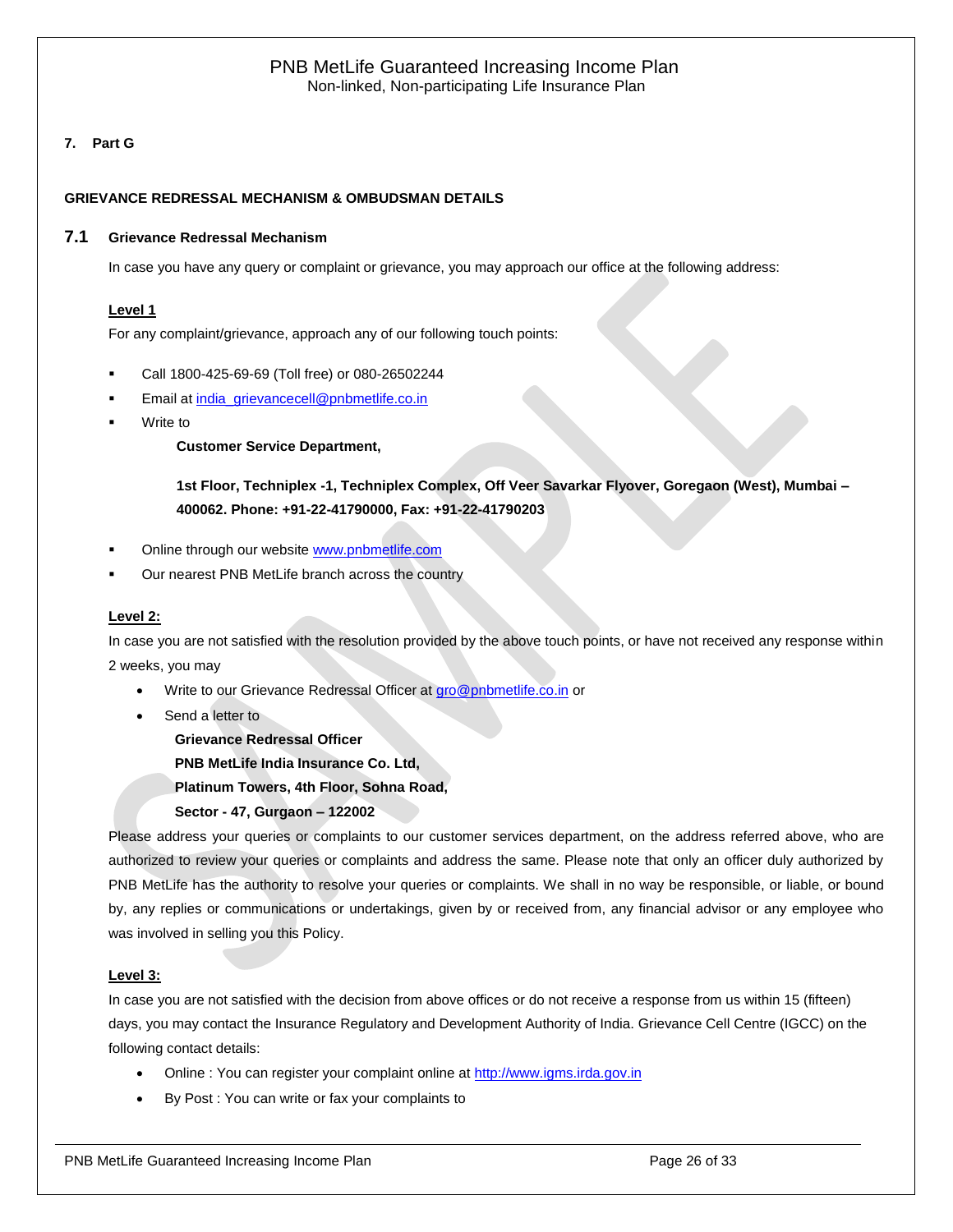# <span id="page-25-0"></span>**7. Part G**

#### **GRIEVANCE REDRESSAL MECHANISM & OMBUDSMAN DETAILS**

#### <span id="page-25-1"></span>**7.1 Grievance Redressal Mechanism**

In case you have any query or complaint or grievance, you may approach our office at the following address:

#### **Level 1**

For any complaint/grievance, approach any of our following touch points:

- Call 1800-425-69-69 (Toll free) or 080-26502244
- Email at [india\\_grievancecell@pnbmetlife.co.in](mailto:india_grievancecell@pnbmetlife.co.in)
- Write to

**Customer Service Department,** 

**1st Floor, Techniplex -1, Techniplex Complex, Off Veer Savarkar Flyover, Goregaon (West), Mumbai – 400062. Phone: +91-22-41790000, Fax: +91-22-41790203**

- Online through our website [www.pnbmetlife.com](http://www.pnbmetlife.com/)
- Our nearest PNB MetLife branch across the country

#### **Level 2:**

In case you are not satisfied with the resolution provided by the above touch points, or have not received any response within 2 weeks, you may

- Write to our Grievance Redressal Officer at [gro@pnbmetlife.co.in](mailto:gro@pnbmetlife.co.in) or
- Send a letter to

**Grievance Redressal Officer**

**PNB MetLife India Insurance Co. Ltd,**

**Platinum Towers, 4th Floor, Sohna Road,** 

**Sector - 47, Gurgaon – 122002**

Please address your queries or complaints to our customer services department, on the address referred above, who are authorized to review your queries or complaints and address the same. Please note that only an officer duly authorized by PNB MetLife has the authority to resolve your queries or complaints. We shall in no way be responsible, or liable, or bound by, any replies or communications or undertakings, given by or received from, any financial advisor or any employee who was involved in selling you this Policy.

#### **Level 3:**

In case you are not satisfied with the decision from above offices or do not receive a response from us within 15 (fifteen) days, you may contact the Insurance Regulatory and Development Authority of India. Grievance Cell Centre (IGCC) on the following contact details:

- Online : You can register your complaint online at [http://www.igms.irda.gov.in](http://www.igms.irda.gov.in/)
- By Post : You can write or fax your complaints to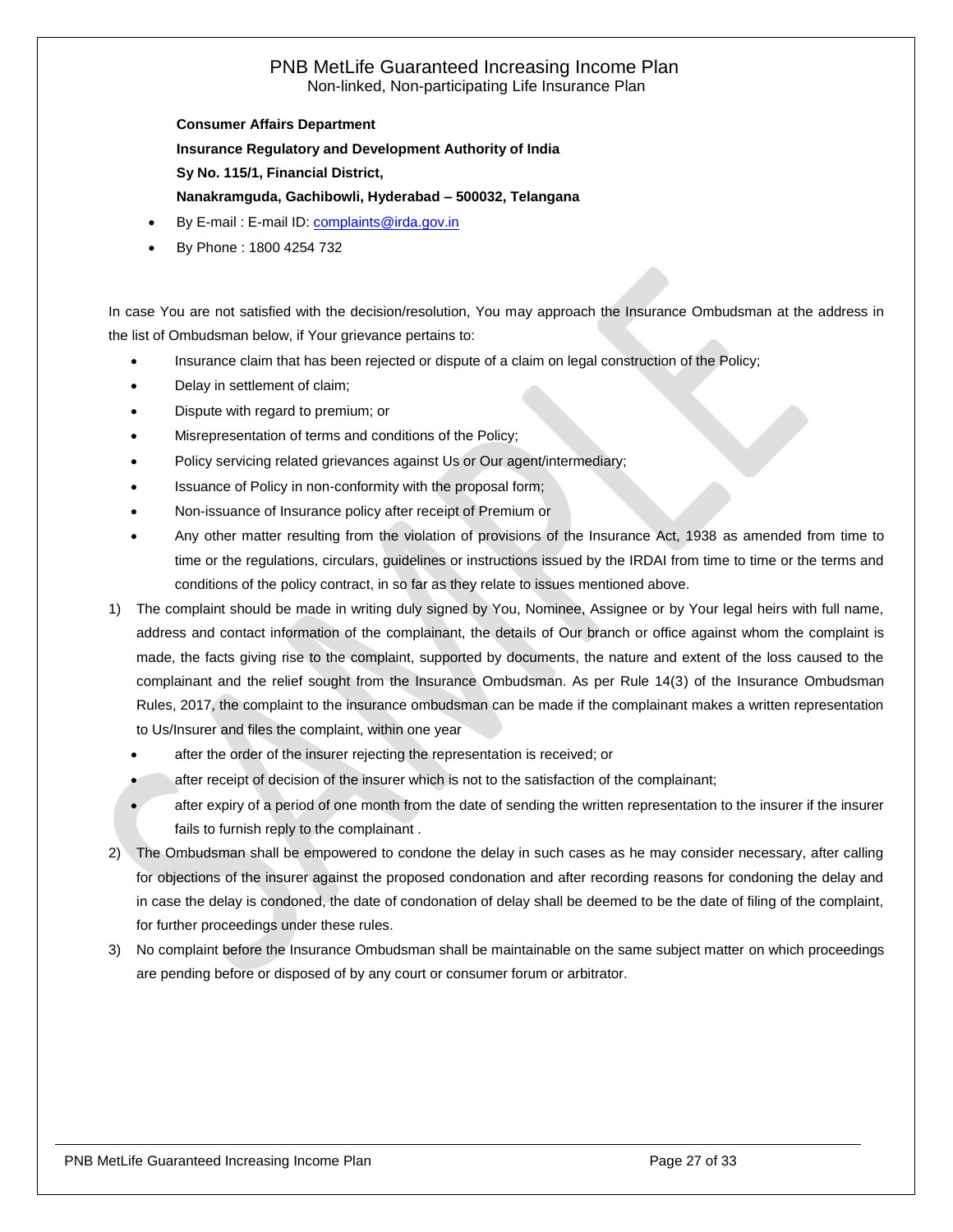**Consumer Affairs Department Insurance Regulatory and Development Authority of India Sy No. 115/1, Financial District, Nanakramguda, Gachibowli, Hyderabad – 500032, Telangana**

- By E-mail : E-mail ID[: complaints@irda.gov.in](mailto:complaints@irda.gov.in)
- By Phone : 1800 4254 732

In case You are not satisfied with the decision/resolution, You may approach the Insurance Ombudsman at the address in the list of Ombudsman below, if Your grievance pertains to:

- Insurance claim that has been rejected or dispute of a claim on legal construction of the Policy;
- Delay in settlement of claim;
- Dispute with regard to premium; or
- Misrepresentation of terms and conditions of the Policy;
- Policy servicing related grievances against Us or Our agent/intermediary;
- Issuance of Policy in non-conformity with the proposal form;
- Non-issuance of Insurance policy after receipt of Premium or
- Any other matter resulting from the violation of provisions of the Insurance Act, 1938 as amended from time to time or the regulations, circulars, guidelines or instructions issued by the IRDAI from time to time or the terms and conditions of the policy contract, in so far as they relate to issues mentioned above.
- 1) The complaint should be made in writing duly signed by You, Nominee, Assignee or by Your legal heirs with full name, address and contact information of the complainant, the details of Our branch or office against whom the complaint is made, the facts giving rise to the complaint, supported by documents, the nature and extent of the loss caused to the complainant and the relief sought from the Insurance Ombudsman. As per Rule 14(3) of the Insurance Ombudsman Rules, 2017, the complaint to the insurance ombudsman can be made if the complainant makes a written representation to Us/Insurer and files the complaint, within one year
	- after the order of the insurer rejecting the representation is received; or
	- after receipt of decision of the insurer which is not to the satisfaction of the complainant;
	- after expiry of a period of one month from the date of sending the written representation to the insurer if the insurer fails to furnish reply to the complainant .
- 2) The Ombudsman shall be empowered to condone the delay in such cases as he may consider necessary, after calling for objections of the insurer against the proposed condonation and after recording reasons for condoning the delay and in case the delay is condoned, the date of condonation of delay shall be deemed to be the date of filing of the complaint, for further proceedings under these rules.
- 3) No complaint before the Insurance Ombudsman shall be maintainable on the same subject matter on which proceedings are pending before or disposed of by any court or consumer forum or arbitrator.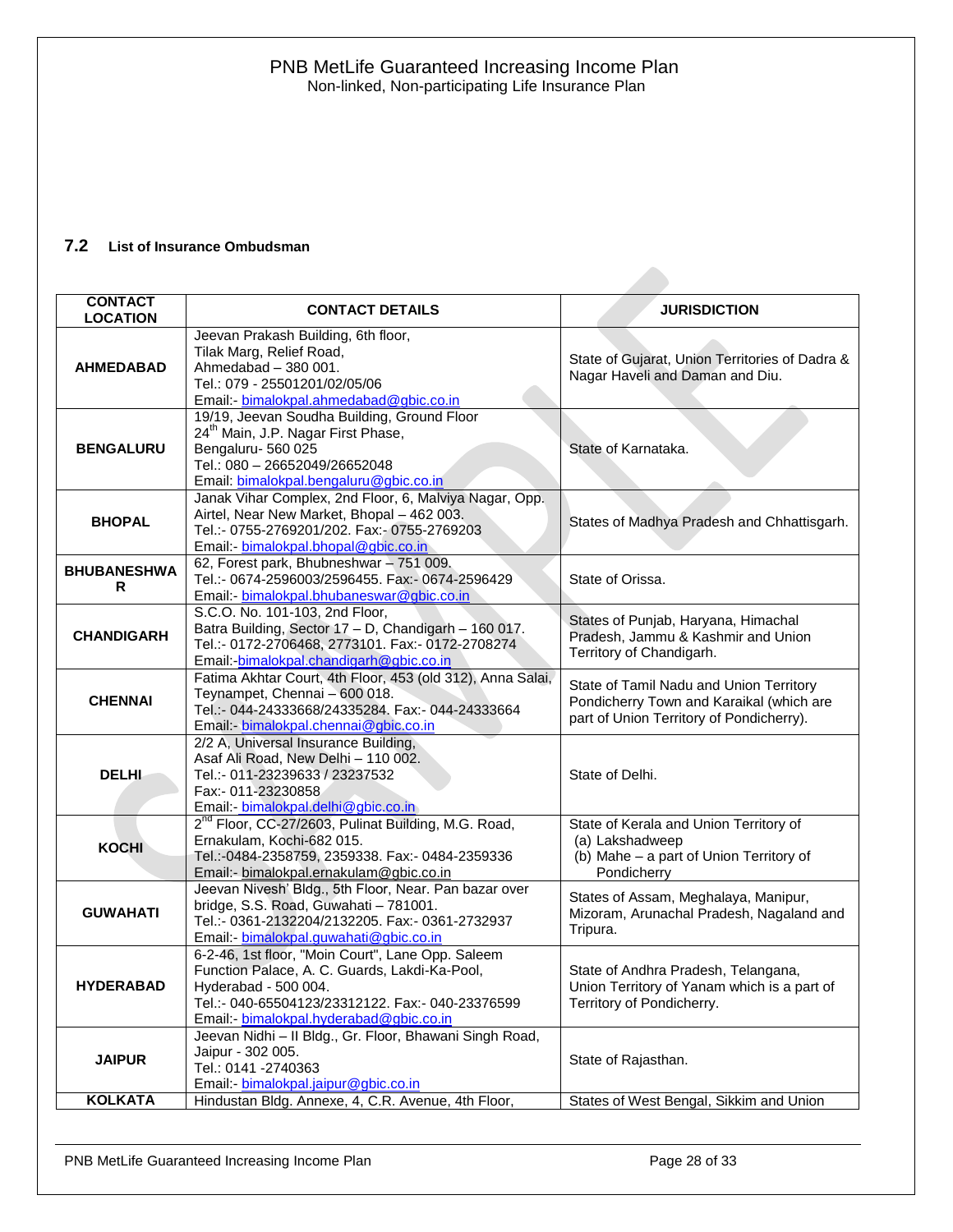# <span id="page-27-0"></span>**7.2 List of Insurance Ombudsman**

| <b>CONTACT</b><br><b>LOCATION</b> | <b>CONTACT DETAILS</b>                                                                                                                                                                                                    | <b>JURISDICTION</b>                                                                                                             |
|-----------------------------------|---------------------------------------------------------------------------------------------------------------------------------------------------------------------------------------------------------------------------|---------------------------------------------------------------------------------------------------------------------------------|
| <b>AHMEDABAD</b>                  | Jeevan Prakash Building, 6th floor,<br>Tilak Marg, Relief Road,<br>Ahmedabad - 380 001.<br>Tel.: 079 - 25501201/02/05/06<br>Email:- bimalokpal.ahmedabad@gbic.co.in                                                       | State of Gujarat, Union Territories of Dadra &<br>Nagar Haveli and Daman and Diu.                                               |
| <b>BENGALURU</b>                  | 19/19, Jeevan Soudha Building, Ground Floor<br>24 <sup>th</sup> Main, J.P. Nagar First Phase,<br>Bengaluru-560 025<br>Tel.: 080 - 26652049/26652048<br>Email: bimalokpal.bengaluru@gbic.co.in                             | State of Karnataka.                                                                                                             |
| <b>BHOPAL</b>                     | Janak Vihar Complex, 2nd Floor, 6, Malviya Nagar, Opp.<br>Airtel, Near New Market, Bhopal - 462 003.<br>Tel.:- 0755-2769201/202. Fax:- 0755-2769203<br>Email: bimalokpal.bhopal@gbic.co.in                                | States of Madhya Pradesh and Chhattisgarh.                                                                                      |
| <b>BHUBANESHWA</b><br>R           | 62, Forest park, Bhubneshwar - 751 009.<br>Tel.:- 0674-2596003/2596455. Fax:- 0674-2596429<br>Email:- bimalokpal.bhubaneswar@gbic.co.in                                                                                   | State of Orissa.                                                                                                                |
| <b>CHANDIGARH</b>                 | S.C.O. No. 101-103, 2nd Floor,<br>Batra Building, Sector 17 - D, Chandigarh - 160 017.<br>Tel.:- 0172-2706468, 2773101. Fax:- 0172-2708274<br>Email: bimalokpal.chandigarh@gbic.co.in                                     | States of Punjab, Haryana, Himachal<br>Pradesh, Jammu & Kashmir and Union<br>Territory of Chandigarh.                           |
| <b>CHENNAI</b>                    | Fatima Akhtar Court, 4th Floor, 453 (old 312), Anna Salai,<br>Teynampet, Chennai - 600 018.<br>Tel.:- 044-24333668/24335284, Fax:- 044-24333664<br>Email: - bimalokpal.chennai@gbic.co.in                                 | State of Tamil Nadu and Union Territory<br>Pondicherry Town and Karaikal (which are<br>part of Union Territory of Pondicherry). |
| <b>DELHI</b>                      | 2/2 A, Universal Insurance Building,<br>Asaf Ali Road, New Delhi - 110 002.<br>Tel.:- 011-23239633 / 23237532<br>Fax:- 011-23230858<br>Email: - bimalokpal.delhi@gbic.co.in                                               | State of Delhi.                                                                                                                 |
| <b>KOCHI</b>                      | 2 <sup>nd</sup> Floor, CC-27/2603, Pulinat Building, M.G. Road,<br>Ernakulam, Kochi-682 015.<br>Tel.:-0484-2358759, 2359338. Fax:- 0484-2359336<br>Email:- bimalokpal.ernakulam@gbic.co.in                                | State of Kerala and Union Territory of<br>(a) Lakshadweep<br>(b) Mahe - a part of Union Territory of<br>Pondicherry             |
| <b>GUWAHATI</b>                   | Jeevan Nivesh' Bldg., 5th Floor, Near. Pan bazar over<br>bridge, S.S. Road, Guwahati - 781001.<br>Tel.:- 0361-2132204/2132205. Fax:- 0361-2732937<br>Email: bimalokpal.guwahati@gbic.co.in                                | States of Assam, Meghalaya, Manipur,<br>Mizoram, Arunachal Pradesh, Nagaland and<br>Tripura.                                    |
| <b>HYDERABAD</b>                  | 6-2-46, 1st floor, "Moin Court", Lane Opp. Saleem<br>Function Palace, A. C. Guards, Lakdi-Ka-Pool,<br>Hyderabad - 500 004.<br>Tel.:- 040-65504123/23312122. Fax:- 040-23376599<br>Email:- bimalokpal.hyderabad@gbic.co.in | State of Andhra Pradesh, Telangana,<br>Union Territory of Yanam which is a part of<br>Territory of Pondicherry.                 |
| <b>JAIPUR</b>                     | Jeevan Nidhi - Il Bldg., Gr. Floor, Bhawani Singh Road,<br>Jaipur - 302 005.<br>Tel.: 0141 -2740363<br>Email - bimalokpal.jaipur@gbic.co.in                                                                               | State of Rajasthan.                                                                                                             |
| <b>KOLKATA</b>                    | Hindustan Bldg. Annexe, 4, C.R. Avenue, 4th Floor,                                                                                                                                                                        | States of West Bengal, Sikkim and Union                                                                                         |

PNB MetLife Guaranteed Increasing Income Plan Page 28 of 33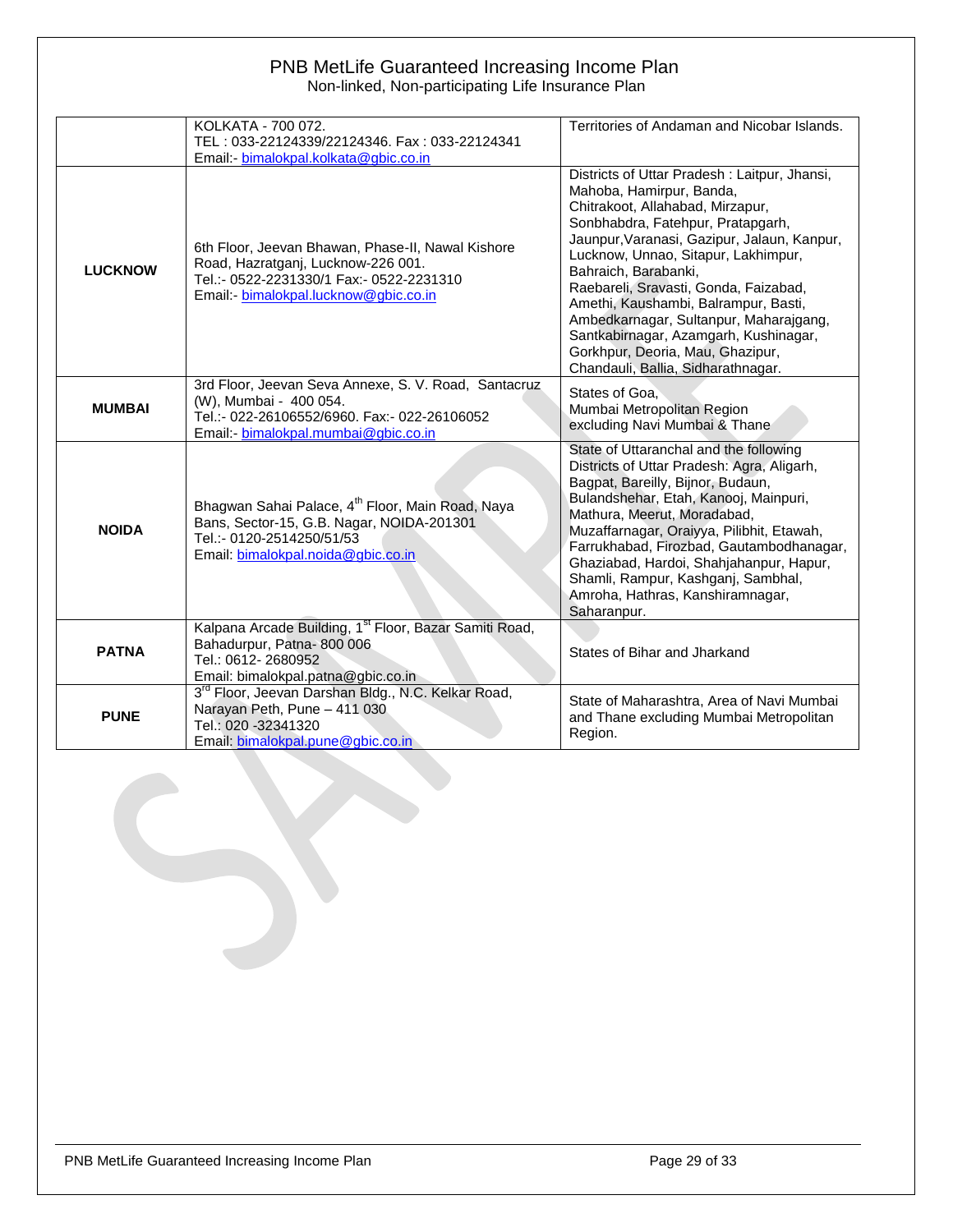# PNB MetLife Guaranteed Increasing Income Plan

Non-linked, Non-participating Life Insurance Plan

|                | KOLKATA - 700 072.                                                                                                                                                           | Territories of Andaman and Nicobar Islands.                                                                                                                                                                                                                                                                                                                                                                                                                                                                   |
|----------------|------------------------------------------------------------------------------------------------------------------------------------------------------------------------------|---------------------------------------------------------------------------------------------------------------------------------------------------------------------------------------------------------------------------------------------------------------------------------------------------------------------------------------------------------------------------------------------------------------------------------------------------------------------------------------------------------------|
|                | TEL: 033-22124339/22124346. Fax: 033-22124341<br>Email: - bimalokpal.kolkata@gbic.co.in                                                                                      |                                                                                                                                                                                                                                                                                                                                                                                                                                                                                                               |
| <b>LUCKNOW</b> | 6th Floor, Jeevan Bhawan, Phase-II, Nawal Kishore<br>Road, Hazratganj, Lucknow-226 001.<br>Tel.:- 0522-2231330/1 Fax:- 0522-2231310<br>Email:- bimalokpal.lucknow@gbic.co.in | Districts of Uttar Pradesh: Laitpur, Jhansi,<br>Mahoba, Hamirpur, Banda,<br>Chitrakoot, Allahabad, Mirzapur,<br>Sonbhabdra, Fatehpur, Pratapgarh,<br>Jaunpur, Varanasi, Gazipur, Jalaun, Kanpur,<br>Lucknow, Unnao, Sitapur, Lakhimpur,<br>Bahraich, Barabanki,<br>Raebareli, Sravasti, Gonda, Faizabad,<br>Amethi, Kaushambi, Balrampur, Basti,<br>Ambedkarnagar, Sultanpur, Maharajgang,<br>Santkabirnagar, Azamgarh, Kushinagar,<br>Gorkhpur, Deoria, Mau, Ghazipur,<br>Chandauli, Ballia, Sidharathnagar. |
| <b>MUMBAI</b>  | 3rd Floor, Jeevan Seva Annexe, S. V. Road, Santacruz<br>(W), Mumbai - 400 054.<br>Tel.:- 022-26106552/6960, Fax:- 022-26106052<br>Email:- bimalokpal.mumbai@gbic.co.in       | States of Goa.<br>Mumbai Metropolitan Region<br>excluding Navi Mumbai & Thane                                                                                                                                                                                                                                                                                                                                                                                                                                 |
| <b>NOIDA</b>   | Bhagwan Sahai Palace, 4 <sup>th</sup> Floor, Main Road, Naya<br>Bans, Sector-15, G.B. Nagar, NOIDA-201301<br>Tel.:- 0120-2514250/51/53<br>Email: bimalokpal.noida@gbic.co.in | State of Uttaranchal and the following<br>Districts of Uttar Pradesh: Agra, Aligarh,<br>Bagpat, Bareilly, Bijnor, Budaun,<br>Bulandshehar, Etah, Kanooj, Mainpuri,<br>Mathura, Meerut, Moradabad,<br>Muzaffarnagar, Oraiyya, Pilibhit, Etawah,<br>Farrukhabad, Firozbad, Gautambodhanagar,<br>Ghaziabad, Hardoi, Shahjahanpur, Hapur,<br>Shamli, Rampur, Kashganj, Sambhal,<br>Amroha, Hathras, Kanshiramnagar,<br>Saharanpur.                                                                                |
| <b>PATNA</b>   | Kalpana Arcade Building, 1 <sup>st</sup> Floor, Bazar Samiti Road,<br>Bahadurpur, Patna-800 006<br>Tel.: 0612-2680952<br>Email: bimalokpal.patna@gbic.co.in                  | States of Bihar and Jharkand                                                                                                                                                                                                                                                                                                                                                                                                                                                                                  |
| <b>PUNE</b>    | 3 <sup>rd</sup> Floor, Jeevan Darshan Bldg., N.C. Kelkar Road,<br>Narayan Peth, Pune - 411 030<br>Tel.: 020 -32341320<br>Email: bimalokpal.pune@gbic.co.in                   | State of Maharashtra, Area of Navi Mumbai<br>and Thane excluding Mumbai Metropolitan<br>Region.                                                                                                                                                                                                                                                                                                                                                                                                               |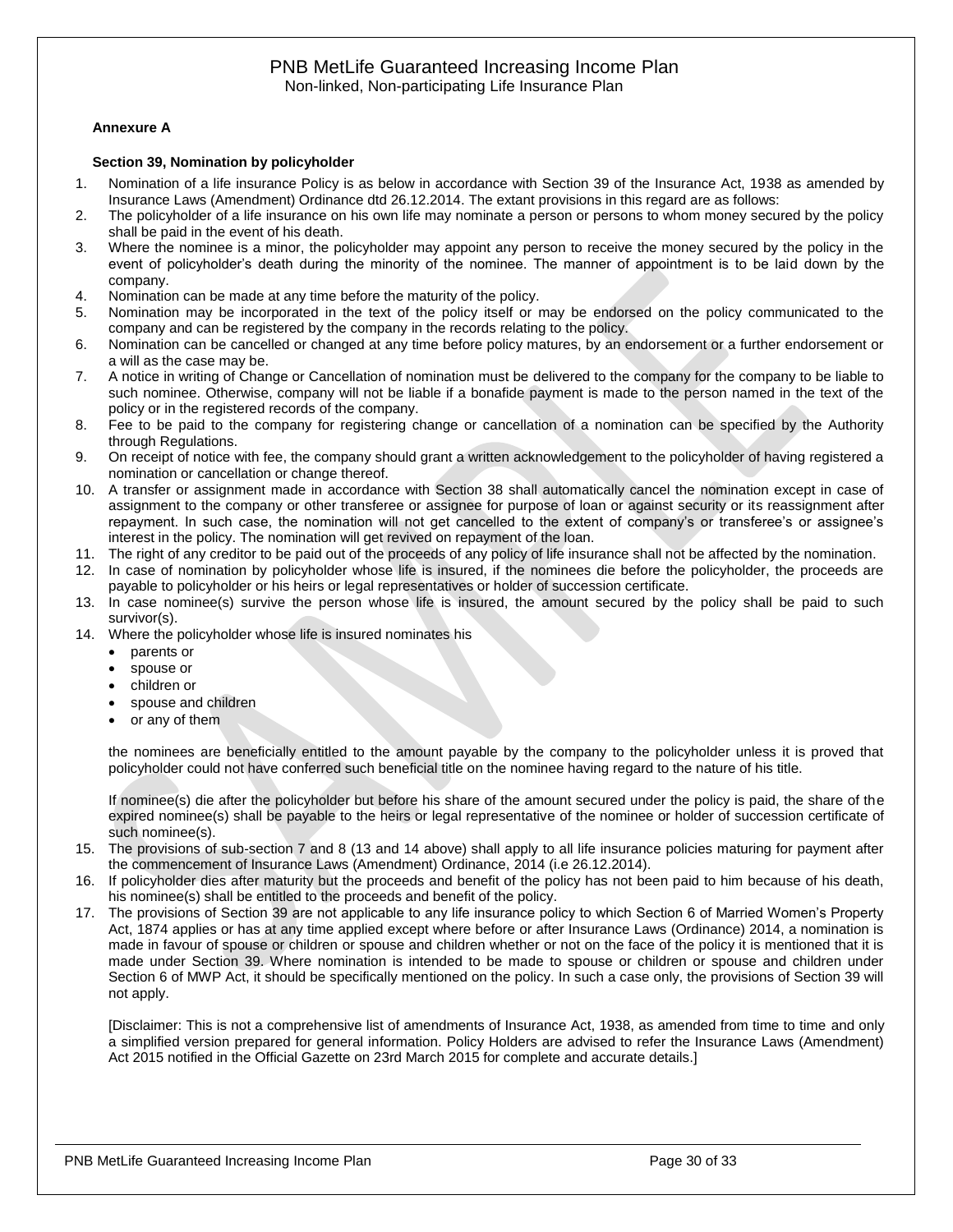#### <span id="page-29-0"></span>**Annexure A**

#### <span id="page-29-1"></span>**Section 39, Nomination by policyholder**

- 1. Nomination of a life insurance Policy is as below in accordance with Section 39 of the Insurance Act, 1938 as amended by Insurance Laws (Amendment) Ordinance dtd 26.12.2014. The extant provisions in this regard are as follows:
- 2. The policyholder of a life insurance on his own life may nominate a person or persons to whom money secured by the policy shall be paid in the event of his death.
- 3. Where the nominee is a minor, the policyholder may appoint any person to receive the money secured by the policy in the event of policyholder's death during the minority of the nominee. The manner of appointment is to be laid down by the company.
- 4. Nomination can be made at any time before the maturity of the policy.
- 5. Nomination may be incorporated in the text of the policy itself or may be endorsed on the policy communicated to the company and can be registered by the company in the records relating to the policy.
- 6. Nomination can be cancelled or changed at any time before policy matures, by an endorsement or a further endorsement or a will as the case may be.
- 7. A notice in writing of Change or Cancellation of nomination must be delivered to the company for the company to be liable to such nominee. Otherwise, company will not be liable if a bonafide payment is made to the person named in the text of the policy or in the registered records of the company.
- 8. Fee to be paid to the company for registering change or cancellation of a nomination can be specified by the Authority through Regulations.
- 9. On receipt of notice with fee, the company should grant a written acknowledgement to the policyholder of having registered a nomination or cancellation or change thereof.
- 10. A transfer or assignment made in accordance with Section 38 shall automatically cancel the nomination except in case of assignment to the company or other transferee or assignee for purpose of loan or against security or its reassignment after repayment. In such case, the nomination will not get cancelled to the extent of company's or transferee's or assignee's interest in the policy. The nomination will get revived on repayment of the loan.
- 11. The right of any creditor to be paid out of the proceeds of any policy of life insurance shall not be affected by the nomination.
- 12. In case of nomination by policyholder whose life is insured, if the nominees die before the policyholder, the proceeds are payable to policyholder or his heirs or legal representatives or holder of succession certificate.
- 13. In case nominee(s) survive the person whose life is insured, the amount secured by the policy shall be paid to such survivor(s).
- 14. Where the policyholder whose life is insured nominates his
	- parents or
	- spouse or
	- children or
	- spouse and children
	- or any of them

the nominees are beneficially entitled to the amount payable by the company to the policyholder unless it is proved that policyholder could not have conferred such beneficial title on the nominee having regard to the nature of his title.

If nominee(s) die after the policyholder but before his share of the amount secured under the policy is paid, the share of the expired nominee(s) shall be payable to the heirs or legal representative of the nominee or holder of succession certificate of such nominee(s).

- 15. The provisions of sub-section 7 and 8 (13 and 14 above) shall apply to all life insurance policies maturing for payment after the commencement of Insurance Laws (Amendment) Ordinance, 2014 (i.e 26.12.2014).
- 16. If policyholder dies after maturity but the proceeds and benefit of the policy has not been paid to him because of his death, his nominee(s) shall be entitled to the proceeds and benefit of the policy.
- 17. The provisions of Section 39 are not applicable to any life insurance policy to which Section 6 of Married Women's Property Act, 1874 applies or has at any time applied except where before or after Insurance Laws (Ordinance) 2014, a nomination is made in favour of spouse or children or spouse and children whether or not on the face of the policy it is mentioned that it is made under Section 39. Where nomination is intended to be made to spouse or children or spouse and children under Section 6 of MWP Act, it should be specifically mentioned on the policy. In such a case only, the provisions of Section 39 will not apply.

[Disclaimer: This is not a comprehensive list of amendments of Insurance Act, 1938, as amended from time to time and only a simplified version prepared for general information. Policy Holders are advised to refer the Insurance Laws (Amendment) Act 2015 notified in the Official Gazette on 23rd March 2015 for complete and accurate details.]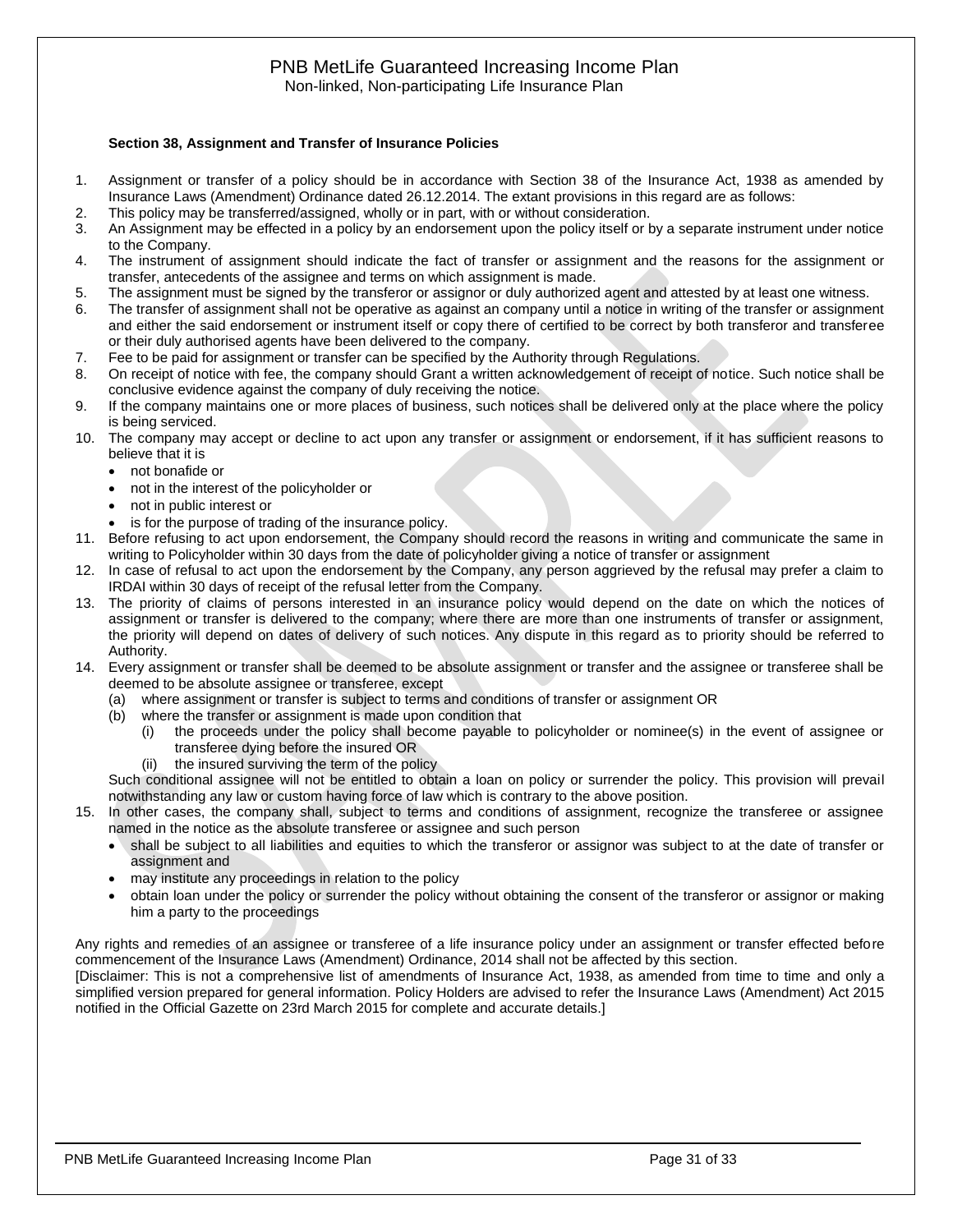# PNB MetLife Guaranteed Increasing Income Plan

Non-linked, Non-participating Life Insurance Plan

#### <span id="page-30-0"></span>**Section 38, Assignment and Transfer of Insurance Policies**

- 1. Assignment or transfer of a policy should be in accordance with Section 38 of the Insurance Act, 1938 as amended by Insurance Laws (Amendment) Ordinance dated 26.12.2014. The extant provisions in this regard are as follows:
- 2. This policy may be transferred/assigned, wholly or in part, with or without consideration.
- 3. An Assignment may be effected in a policy by an endorsement upon the policy itself or by a separate instrument under notice to the Company.
- 4. The instrument of assignment should indicate the fact of transfer or assignment and the reasons for the assignment or transfer, antecedents of the assignee and terms on which assignment is made.
- 5. The assignment must be signed by the transferor or assignor or duly authorized agent and attested by at least one witness.
- 6. The transfer of assignment shall not be operative as against an company until a notice in writing of the transfer or assignment and either the said endorsement or instrument itself or copy there of certified to be correct by both transferor and transferee or their duly authorised agents have been delivered to the company.
- 7. Fee to be paid for assignment or transfer can be specified by the Authority through Regulations.
- 8. On receipt of notice with fee, the company should Grant a written acknowledgement of receipt of notice. Such notice shall be conclusive evidence against the company of duly receiving the notice.
- 9. If the company maintains one or more places of business, such notices shall be delivered only at the place where the policy is being serviced.
- 10. The company may accept or decline to act upon any transfer or assignment or endorsement, if it has sufficient reasons to believe that it is
	- not bonafide or
	- not in the interest of the policyholder or
	- not in public interest or
	- is for the purpose of trading of the insurance policy.
- 11. Before refusing to act upon endorsement, the Company should record the reasons in writing and communicate the same in writing to Policyholder within 30 days from the date of policyholder giving a notice of transfer or assignment
- 12. In case of refusal to act upon the endorsement by the Company, any person aggrieved by the refusal may prefer a claim to IRDAI within 30 days of receipt of the refusal letter from the Company.
- 13. The priority of claims of persons interested in an insurance policy would depend on the date on which the notices of assignment or transfer is delivered to the company; where there are more than one instruments of transfer or assignment, the priority will depend on dates of delivery of such notices. Any dispute in this regard as to priority should be referred to Authority.
- 14. Every assignment or transfer shall be deemed to be absolute assignment or transfer and the assignee or transferee shall be deemed to be absolute assignee or transferee, except
	- (a) where assignment or transfer is subject to terms and conditions of transfer or assignment OR
	- (b) where the transfer or assignment is made upon condition that
		- (i) the proceeds under the policy shall become payable to policyholder or nominee(s) in the event of assignee or transferee dying before the insured OR
		- (ii) the insured surviving the term of the policy

Such conditional assignee will not be entitled to obtain a loan on policy or surrender the policy. This provision will prevail notwithstanding any law or custom having force of law which is contrary to the above position.

- 15. In other cases, the company shall, subject to terms and conditions of assignment, recognize the transferee or assignee named in the notice as the absolute transferee or assignee and such person
	- shall be subject to all liabilities and equities to which the transferor or assignor was subject to at the date of transfer or assignment and
	- may institute any proceedings in relation to the policy
	- obtain loan under the policy or surrender the policy without obtaining the consent of the transferor or assignor or making him a party to the proceedings

Any rights and remedies of an assignee or transferee of a life insurance policy under an assignment or transfer effected before commencement of the Insurance Laws (Amendment) Ordinance, 2014 shall not be affected by this section.

[Disclaimer: This is not a comprehensive list of amendments of Insurance Act, 1938, as amended from time to time and only a simplified version prepared for general information. Policy Holders are advised to refer the Insurance Laws (Amendment) Act 2015 notified in the Official Gazette on 23rd March 2015 for complete and accurate details.]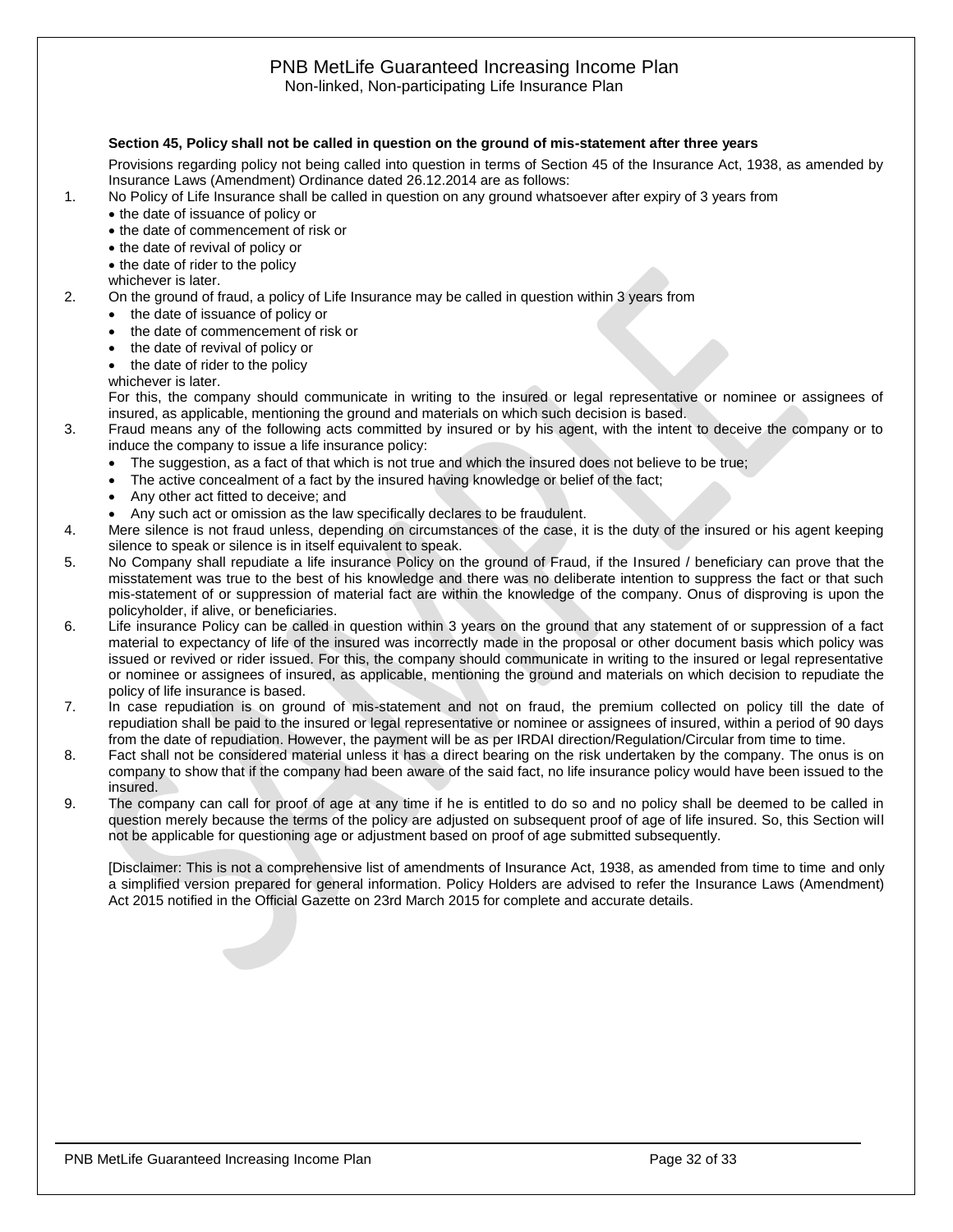# PNB MetLife Guaranteed Increasing Income Plan

#### Non-linked, Non-participating Life Insurance Plan

#### <span id="page-31-0"></span>**Section 45, Policy shall not be called in question on the ground of mis-statement after three years**

Provisions regarding policy not being called into question in terms of Section 45 of the Insurance Act, 1938, as amended by Insurance Laws (Amendment) Ordinance dated 26.12.2014 are as follows:

- 1. No Policy of Life Insurance shall be called in question on any ground whatsoever after expiry of 3 years from
	- the date of issuance of policy or
	- the date of commencement of risk or
	- the date of revival of policy or
	- the date of rider to the policy
	- whichever is later.
- 2. On the ground of fraud, a policy of Life Insurance may be called in question within 3 years from
	- the date of issuance of policy or
	- the date of commencement of risk or
	- the date of revival of policy or
	- the date of rider to the policy

whichever is later.

For this, the company should communicate in writing to the insured or legal representative or nominee or assignees of insured, as applicable, mentioning the ground and materials on which such decision is based.

- 3. Fraud means any of the following acts committed by insured or by his agent, with the intent to deceive the company or to induce the company to issue a life insurance policy:
	- The suggestion, as a fact of that which is not true and which the insured does not believe to be true;
	- The active concealment of a fact by the insured having knowledge or belief of the fact;
	- Any other act fitted to deceive; and
	- Any such act or omission as the law specifically declares to be fraudulent.

4. Mere silence is not fraud unless, depending on circumstances of the case, it is the duty of the insured or his agent keeping silence to speak or silence is in itself equivalent to speak.

- 5. No Company shall repudiate a life insurance Policy on the ground of Fraud, if the Insured / beneficiary can prove that the misstatement was true to the best of his knowledge and there was no deliberate intention to suppress the fact or that such mis-statement of or suppression of material fact are within the knowledge of the company. Onus of disproving is upon the policyholder, if alive, or beneficiaries.
- 6. Life insurance Policy can be called in question within 3 years on the ground that any statement of or suppression of a fact material to expectancy of life of the insured was incorrectly made in the proposal or other document basis which policy was issued or revived or rider issued. For this, the company should communicate in writing to the insured or legal representative or nominee or assignees of insured, as applicable, mentioning the ground and materials on which decision to repudiate the policy of life insurance is based.
- 7. In case repudiation is on ground of mis-statement and not on fraud, the premium collected on policy till the date of repudiation shall be paid to the insured or legal representative or nominee or assignees of insured, within a period of 90 days from the date of repudiation. However, the payment will be as per IRDAI direction/Regulation/Circular from time to time.
- 8. Fact shall not be considered material unless it has a direct bearing on the risk undertaken by the company. The onus is on company to show that if the company had been aware of the said fact, no life insurance policy would have been issued to the insured.
- 9. The company can call for proof of age at any time if he is entitled to do so and no policy shall be deemed to be called in question merely because the terms of the policy are adjusted on subsequent proof of age of life insured. So, this Section will not be applicable for questioning age or adjustment based on proof of age submitted subsequently.

[Disclaimer: This is not a comprehensive list of amendments of Insurance Act, 1938, as amended from time to time and only a simplified version prepared for general information. Policy Holders are advised to refer the Insurance Laws (Amendment) Act 2015 notified in the Official Gazette on 23rd March 2015 for complete and accurate details.